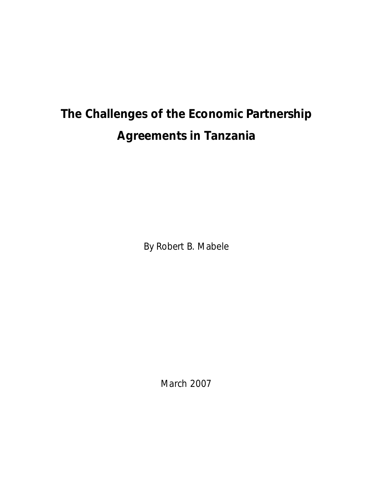### **The Challenges of the Economic Partnership Agreements in Tanzania**

By Robert B. Mabele

March 2007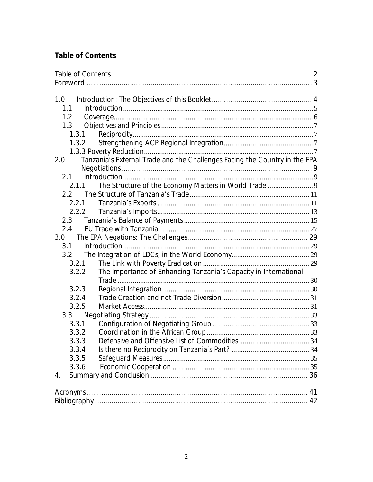### **Table of Contents**

| 1.0<br>1.1<br>1.2<br>1.3<br>1.3.1<br>1.3.2<br>Tanzania's External Trade and the Challenges Facing the Country in the EPA<br>2.0<br>2.1<br>The Structure of the Economy Matters in World Trade  9<br>2.1.1<br>2.2<br>2.2.1<br>2.2.2<br>2.3<br>2.4<br>3.0<br>3.1<br>3.2<br>3.2.1<br>The Importance of Enhancing Tanzania's Capacity in International<br>3.2.2<br>3.2.3<br>3.2.4<br>3.2.5<br>3.3<br>3.3.1<br>3.3.2<br>3.3.3<br>3.3.4<br>3.3.5<br>3.3.6<br>4. |  |
|-----------------------------------------------------------------------------------------------------------------------------------------------------------------------------------------------------------------------------------------------------------------------------------------------------------------------------------------------------------------------------------------------------------------------------------------------------------|--|
|                                                                                                                                                                                                                                                                                                                                                                                                                                                           |  |
|                                                                                                                                                                                                                                                                                                                                                                                                                                                           |  |
|                                                                                                                                                                                                                                                                                                                                                                                                                                                           |  |
|                                                                                                                                                                                                                                                                                                                                                                                                                                                           |  |
|                                                                                                                                                                                                                                                                                                                                                                                                                                                           |  |
|                                                                                                                                                                                                                                                                                                                                                                                                                                                           |  |
|                                                                                                                                                                                                                                                                                                                                                                                                                                                           |  |
|                                                                                                                                                                                                                                                                                                                                                                                                                                                           |  |
|                                                                                                                                                                                                                                                                                                                                                                                                                                                           |  |
|                                                                                                                                                                                                                                                                                                                                                                                                                                                           |  |
|                                                                                                                                                                                                                                                                                                                                                                                                                                                           |  |
|                                                                                                                                                                                                                                                                                                                                                                                                                                                           |  |
|                                                                                                                                                                                                                                                                                                                                                                                                                                                           |  |
|                                                                                                                                                                                                                                                                                                                                                                                                                                                           |  |
|                                                                                                                                                                                                                                                                                                                                                                                                                                                           |  |
|                                                                                                                                                                                                                                                                                                                                                                                                                                                           |  |
|                                                                                                                                                                                                                                                                                                                                                                                                                                                           |  |
|                                                                                                                                                                                                                                                                                                                                                                                                                                                           |  |
|                                                                                                                                                                                                                                                                                                                                                                                                                                                           |  |
|                                                                                                                                                                                                                                                                                                                                                                                                                                                           |  |
|                                                                                                                                                                                                                                                                                                                                                                                                                                                           |  |
|                                                                                                                                                                                                                                                                                                                                                                                                                                                           |  |
|                                                                                                                                                                                                                                                                                                                                                                                                                                                           |  |
|                                                                                                                                                                                                                                                                                                                                                                                                                                                           |  |
|                                                                                                                                                                                                                                                                                                                                                                                                                                                           |  |
|                                                                                                                                                                                                                                                                                                                                                                                                                                                           |  |
|                                                                                                                                                                                                                                                                                                                                                                                                                                                           |  |
|                                                                                                                                                                                                                                                                                                                                                                                                                                                           |  |
|                                                                                                                                                                                                                                                                                                                                                                                                                                                           |  |
|                                                                                                                                                                                                                                                                                                                                                                                                                                                           |  |
|                                                                                                                                                                                                                                                                                                                                                                                                                                                           |  |
|                                                                                                                                                                                                                                                                                                                                                                                                                                                           |  |
|                                                                                                                                                                                                                                                                                                                                                                                                                                                           |  |
|                                                                                                                                                                                                                                                                                                                                                                                                                                                           |  |
|                                                                                                                                                                                                                                                                                                                                                                                                                                                           |  |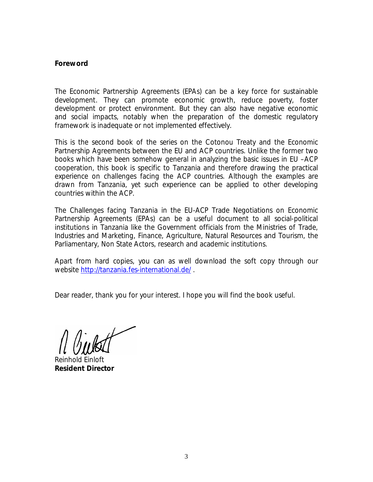#### **Foreword**

The Economic Partnership Agreements (EPAs) can be a key force for sustainable development. They can promote economic growth, reduce poverty, foster development or protect environment. But they can also have negative economic and social impacts, notably when the preparation of the domestic regulatory framework is inadequate or not implemented effectively.

This is the second book of the series on the Cotonou Treaty and the Economic Partnership Agreements between the EU and ACP countries. Unlike the former two books which have been somehow general in analyzing the basic issues in EU –ACP cooperation, this book is specific to Tanzania and therefore drawing the practical experience on challenges facing the ACP countries. Although the examples are drawn from Tanzania, yet such experience can be applied to other developing countries within the ACP.

*The Challenges facing Tanzania in the EU-ACP Trade Negotiations on Economic Partnership Agreements (EPAs)* can be a useful document to all social-political institutions in Tanzania like the Government officials from the Ministries of Trade, Industries and Marketing, Finance, Agriculture, Natural Resources and Tourism, the Parliamentary, Non State Actors, research and academic institutions.

Apart from hard copies, you can as well download the soft copy through our website <http://tanzania.fes-international.de/> .

Dear reader, thank you for your interest. I hope you will find the book useful.

Reinhold Einloft **Resident Director**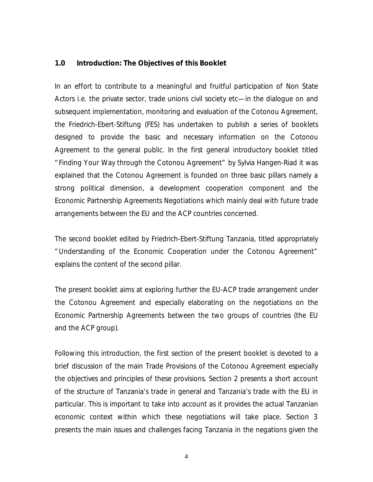#### **1.0 Introduction: The Objectives of this Booklet**

In an effort to contribute to a meaningful and fruitful participation of Non State Actors i.e. the private sector, trade unions civil society etc—in the dialogue on and subsequent implementation, monitoring and evaluation of the Cotonou Agreement, the Friedrich-Ebert-Stiftung (FES) has undertaken to publish a series of booklets designed to provide the basic and necessary information on the Cotonou Agreement to the general public. In the first general introductory booklet titled Agreement to the general public. In the first general introductory booklet titled<br>"Finding Your Way through the Cotonou Agreement" by Sylvia Hangen-Riad it was explained that the Cotonou Agreement is founded on three basic pillars namely a strong political dimension, a development cooperation component and the Economic Partnership Agreements Negotiations which mainly deal with future trade arrangements between the EU and the ACP countries concerned.

The second booklet edited by Friedrich-Ebert-Stiftung Tanzania, titled appropriately The second booklet edited by Friedrich-Ebert-Stiftung Tanzania, titled appropriately<br>"Understanding of the Economic Cooperation under the Cotonou Agreement" explains the content of the second pillar.

The present booklet aims at exploring further the EU-ACP trade arrangement under the Cotonou Agreement and especially elaborating on the negotiations on the Economic Partnership Agreements between the two groups of countries (the EU and the ACP group).

Following this introduction, the first section of the present booklet is devoted to a brief discussion of the main Trade Provisions of the Cotonou Agreement especially the objectives and principles of these provisions. Section 2 presents a short account of the structure of Tanzania's trade in general and Tanzania's trade with the EU in particular. This is important to take into account as it provides the actual Tanzanian economic context within which these negotiations will take place. Section 3 presents the main issues and challenges facing Tanzania in the negations given the

4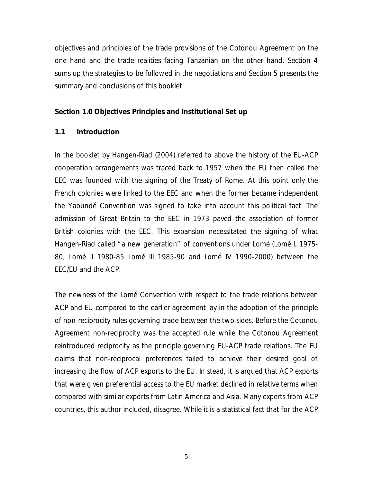objectives and principles of the trade provisions of the Cotonou Agreement on the one hand and the trade realities facing Tanzanian on the other hand. Section 4 sums up the strategies to be followed in the negotiations and Section 5 presents the summary and conclusions of this booklet.

#### **Section 1.0 Objectives Principles and Institutional Set up**

#### **1.1 Introduction**

In the booklet by Hangen-Riad (2004) referred to above the history of the EU-ACP cooperation arrangements was traced back to 1957 when the EU then called the EEC was founded with the signing of the Treaty of Rome. At this point only the French colonies were linked to the EEC and when the former became independent the Yaoundé Convention was signed to take into account this political fact. The admission of Great Britain to the EEC in 1973 paved the association of former British colonies with the EEC. This expansion necessitated the signing of what Hangen-Riad called " a new generation" of conventions under Lomé (Lomé I, 1975- 80, Lomé II 1980-85 Lomé III 1985-90 and Lomé IV 1990-2000) between the EEC/EU and the ACP.

The newness of the Lomé Convention with respect to the trade relations between ACP and EU compared to the earlier agreement lay in the adoption of the principle of non-reciprocity rules governing trade between the two sides. Before the Cotonou Agreement non-reciprocity was the accepted rule while the Cotonou Agreement reintroduced reciprocity as the principle governing EU-ACP trade relations. The EU claims that non-reciprocal preferences failed to achieve their desired goal of increasing the flow of ACP exports to the EU. In stead, it is argued that ACP exports that were given preferential access to the EU market declined in relative terms when compared with similar exports from Latin America and Asia. Many experts from ACP countries, this author included, disagree. While it is a statistical fact that for the ACP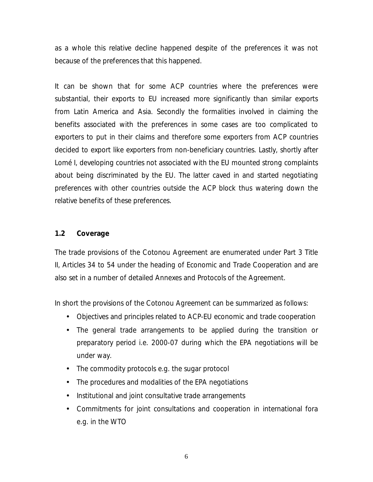as a whole this relative decline happened *despite* of the preferences it was not *because* of the preferences that this happened.

It can be shown that for some ACP countries where the preferences were substantial, their exports to EU increased more significantly than similar exports from Latin America and Asia. Secondly the formalities involved in claiming the benefits associated with the preferences in some cases are too complicated to exporters to put in their claims and therefore some exporters from ACP countries decided to export like exporters from non-beneficiary countries. Lastly, shortly after Lomé I, developing countries not associated with the EU mounted strong complaints about being discriminated by the EU. The latter caved in and started negotiating preferences with other countries outside the ACP block thus watering down the relative benefits of these preferences.

#### **1.2 Coverage**

The trade provisions of the Cotonou Agreement are enumerated under Part 3 Title II, Articles 34 to 54 under the heading of Economic and Trade Cooperation and are also set in a number of detailed Annexes and Protocols of the Agreement.

In short the provisions of the Cotonou Agreement can be summarized as follows:

- Objectives and principles related to ACP-EU economic and trade cooperation
- The general trade arrangements to be applied during the transition or preparatory period i.e. 2000-07 during which the EPA negotiations will be under way.
- The commodity protocols e.g. the sugar protocol
- The procedures and modalities of the EPA negotiations
- Institutional and joint consultative trade arrangements
- Commitments for joint consultations and cooperation in international fora e.g. in the WTO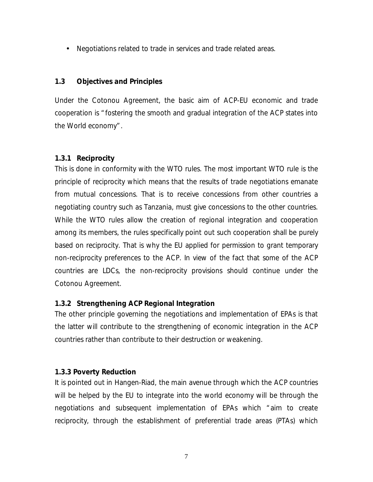• Negotiations related to trade in services and trade related areas.

#### **1.3 Objectives and Principles**

Under the Cotonou Agreement, the basic aim of ACP-EU economic and trade Under the Cotonou Agreement, the basic aim of ACP-EU economic and trade<br>cooperation is " fostering the smooth and gradual integration of the ACP states into cooperation is " fostering the smooth and gradual integration of the ACP states into the World economy" .

#### **1.3.1 Reciprocity**

This is done in conformity with the WTO rules. The most important WTO rule is the principle of reciprocity which means that the results of trade negotiations emanate from mutual concessions. That is to receive concessions from other countries a negotiating country such as Tanzania, must give concessions to the other countries. While the WTO rules allow the creation of regional integration and cooperation among its members, the rules specifically point out such cooperation shall be purely based on reciprocity. That is why the EU applied for permission to grant temporary non-reciprocity preferences to the ACP. In view of the fact that some of the ACP countries are LDCs, the non-reciprocity provisions should continue under the Cotonou Agreement.

#### **1.3.2 Strengthening ACP Regional Integration**

The other principle governing the negotiations and implementation of EPAs is that the latter will contribute to the strengthening of economic integration in the ACP countries rather than contribute to their destruction or weakening.

#### **1.3.3 Poverty Reduction**

It is pointed out in Hangen-Riad, the main avenue through which the ACP countries will be helped by the EU to integrate into the world economy will be through the will be helped by the EU to integrate into the world economy will be through the<br>negotiations and subsequent implementation of EPAs which " aim to create reciprocity, through the establishment of preferential trade areas (PTAs) which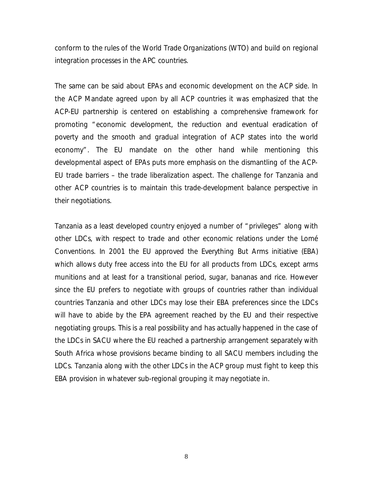conform to the rules of the World Trade Organizations (WTO) and build on regional integration processes in the APC countries.

The same can be said about EPAs and economic development on the ACP side. In the ACP Mandate agreed upon by all ACP countries it was emphasized that the ACP-EU partnership is centered on establishing a comprehensive framework for promoting " economic development, the reduction and eventual eradication of poverty and the smooth and gradual integration of ACP states into the world poverty and the smooth and gradual integration of ACP states into the world<br>economy" . The EU mandate on the other hand while mentioning this developmental aspect of EPAs puts more emphasis on the dismantling of the ACP-EU trade barriers – the trade liberalization aspect. The challenge for Tanzania and other ACP countries is to maintain this trade-development balance perspective in their negotiations.

Tanzania as a least developed country enjoyed a number of " privileges" along with other LDCs, with respect to trade and other economic relations under the Lomé Conventions. In 2001 the EU approved the Everything But Arms initiative (EBA) which allows duty free access into the EU for all products from LDCs, except arms munitions and at least for a transitional period, sugar, bananas and rice. However since the EU prefers to negotiate with groups of countries rather than individual countries Tanzania and other LDCs may lose their EBA preferences since the LDCs will have to abide by the EPA agreement reached by the EU and their respective negotiating groups. This is a real possibility and has actually happened in the case of the LDCs in SACU where the EU reached a partnership arrangement separately with South Africa whose provisions became binding to all SACU members including the LDCs. Tanzania along with the other LDCs in the ACP group must fight to keep this EBA provision in whatever sub-regional grouping it may negotiate in.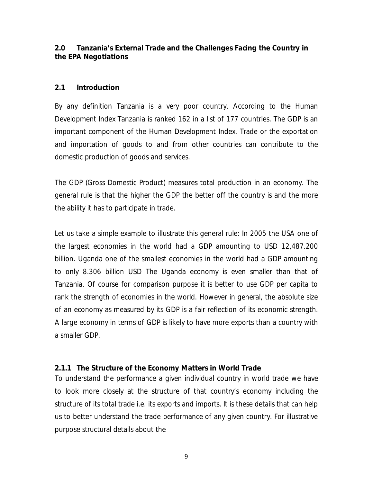#### 2.0 Tanzania's External Trade and the Challenges Facing the Country in **the EPA Negotiations**

#### **2.1 Introduction**

By any definition Tanzania is a very poor country. According to the Human Development Index Tanzania is ranked 162 in a list of 177 countries. The GDP is an important component of the Human Development Index. Trade or the exportation and importation of goods to and from other countries can contribute to the domestic production of goods and services.

The GDP (Gross Domestic Product) measures total production in an economy. The general rule is that the higher the GDP the better off the country is and the more the ability it has to participate in trade.

Let us take a simple example to illustrate this general rule: In 2005 the USA one of the largest economies in the world had a GDP amounting to USD 12,487.200 billion. Uganda one of the smallest economies in the world had a GDP amounting to only 8.306 billion USD The Uganda economy is even smaller than that of Tanzania. Of course for comparison purpose it is better to use GDP per capita to rank the strength of economies in the world. However in general, the absolute size of an economy as measured by its GDP is a fair reflection of its economic strength. A large economy in terms of GDP is likely to have more exports than a country with a smaller GDP.

#### **2.1.1 The Structure of the Economy Matters in World Trade**

To understand the performance a given individual country in world trade we have The local state of the section, matters in trend mass<br>To understand the performance a given individual country in world trade we have<br>to look more closely at the structure of that country's economy including the structure of its total trade i.e. its exports and imports. It is these details that can help us to better understand the trade performance of any given country. For illustrative purpose structural details about the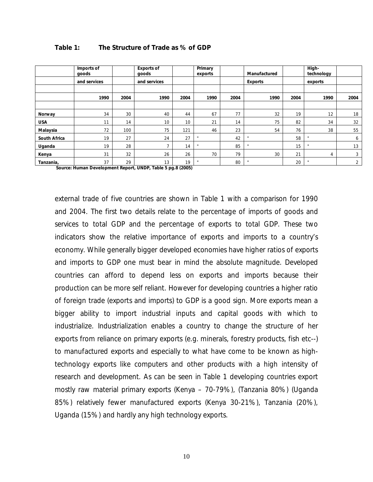|                     | Imports of<br>goods |      | <b>Exports of</b><br>goods |      | Primary<br>exports |      | Manufactured   |      | High-<br>technology |                |
|---------------------|---------------------|------|----------------------------|------|--------------------|------|----------------|------|---------------------|----------------|
|                     | and services        |      | and services               |      |                    |      | <b>Exports</b> |      | exports             |                |
|                     | 1990                | 2004 | 1990                       | 2004 | 1990               | 2004 | 1990           | 2004 | 1990                | 2004           |
| Norway              | 34                  | 30   | 40                         | 44   | 67                 | 77   | 32             | 19   | 12                  | 18             |
| <b>USA</b>          | 11                  | 14   | 10                         | 10   | 21                 | 14   | 75             | 82   | 34                  | 32             |
| Malaysia            | 72                  | 100  | 75                         | 121  | 46                 | 23   | 54             | 76   | 38                  | 55             |
| <b>South Africa</b> | 19                  | 27   | 24                         | 27   | $\mathbf{H}$       | 42   |                | 58   |                     | 6              |
| Uganda              | 19                  | 28   | $\overline{\phantom{a}}$   | 14   | $\mathbf{H}$       | 85   | $\mathbf{u}$   | 15   |                     | 13             |
| Kenya               | 31                  | 32   | 26                         | 26   | 70                 | 79   | 30             | 21   | 4                   | 3              |
| Tanzania,           | 37                  | 29   | 13                         | 19   | $\mathbf{H}$       | 80   |                | 20   |                     | $\overline{2}$ |

#### **Table 1: The Structure of Trade as % of GDP**

 **Source: Human Development Report, UNDP, Table 5 pg.8 (2005)** 

external trade of five countries are shown in Table 1 with a comparison for 1990 and 2004. The first two details relate to the percentage of imports of goods and services to total GDP and the percentage of exports to total GDP. These two indicators show the relative importance of exports and imports to a country's economy. While generally bigger developed economies have higher ratios of exports and imports to GDP one must bear in mind the absolute magnitude. Developed countries can afford to depend less on exports and imports because their production can be more self reliant. However for developing countries a higher ratio of foreign trade (exports and imports) to GDP is a good sign. More exports mean a bigger ability to import industrial inputs and capital goods with which to industrialize. Industrialization enables a country to change the structure of her exports from reliance on primary exports (e.g. minerals, forestry products, fish etc--) to manufactured exports and especially to what have come to be known as hightechnology exports like computers and other products with a high intensity of research and development. As can be seen in Table 1 developing countries export mostly raw material primary exports (Kenya – 70-79%), (Tanzania 80%) (Uganda 85%) relatively fewer manufactured exports (Kenya 30-21%), Tanzania (20%), Uganda (15%) and hardly any high technology exports.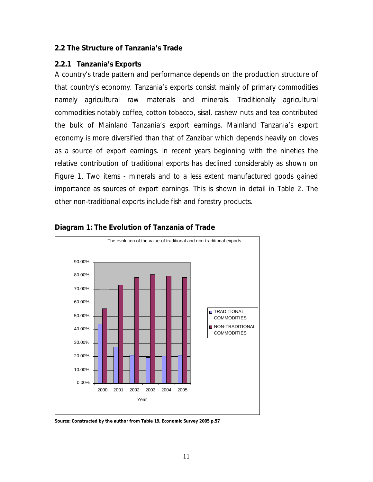# **2.2 The Structure of Tanzania' s Trade 2.2 The Structure of Tanzani<br>2.2.1 Tanzania's Exports**<br>A secutive trade nations and

2.2.1 Tanzania's Exports<br>A country's trade pattern and performance depends on the production structure of E.F. Tanzania's Exports<br>A country's trade pattern and performance depends on the production structure of<br>that country's economy. Tanzania's exports consist mainly of primary commodities namely agricultural raw materials and minerals. Traditionally agricultural commodities notably coffee, cotton tobacco, sisal, cashew nuts and tea contributed commodities notably coffee, cotton tobacco, sisal, cashew nuts and tea contributed<br>the bulk of Mainland Tanzania's export earnings. Mainland Tanzania's export economy is more diversified than that of Zanzibar which depends heavily on cloves as a source of export earnings. In recent years beginning with the nineties the relative contribution of traditional exports has declined considerably as shown on Figure 1. Two items - minerals and to a less extent manufactured goods gained importance as sources of export earnings. This is shown in detail in Table 2. The other non-traditional exports include fish and forestry products.



#### **Diagram 1: The Evolution of Tanzania of Trade**

**Source: Constructed by the author from Table 19, Economic Survey 2005 p.57**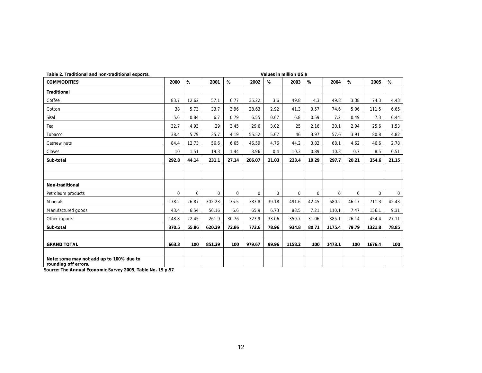| Table 2. Traditional and non-traditional exports.                |          |          |          |          |          |          | Values in million US \$ |          |          |          |          |          |
|------------------------------------------------------------------|----------|----------|----------|----------|----------|----------|-------------------------|----------|----------|----------|----------|----------|
| <b>COMMODITIES</b>                                               | 2000     | %        | 2001     | %        | 2002     | %        | 2003                    | %        | 2004     | %        | 2005     | %        |
| <b>Traditional</b>                                               |          |          |          |          |          |          |                         |          |          |          |          |          |
| Coffee                                                           | 83.7     | 12.62    | 57.1     | 6.77     | 35.22    | 3.6      | 49.8                    | 4.3      | 49.8     | 3.38     | 74.3     | 4.43     |
| Cotton                                                           | 38       | 5.73     | 33.7     | 3.96     | 28.63    | 2.92     | 41.3                    | 3.57     | 74.6     | 5.06     | 111.5    | 6.65     |
| Sisal                                                            | 5.6      | 0.84     | 6.7      | 0.79     | 6.55     | 0.67     | 6.8                     | 0.59     | 7.2      | 0.49     | 7.3      | 0.44     |
| Tea                                                              | 32.7     | 4.93     | 29       | 3.45     | 29.6     | 3.02     | 25                      | 2.16     | 30.1     | 2.04     | 25.6     | 1.53     |
| Tobacco                                                          | 38.4     | 5.79     | 35.7     | 4.19     | 55.52    | 5.67     | 46                      | 3.97     | 57.6     | 3.91     | 80.8     | 4.82     |
| Cashew nuts                                                      | 84.4     | 12.73    | 56.6     | 6.65     | 46.59    | 4.76     | 44.2                    | 3.82     | 68.1     | 4.62     | 46.6     | 2.78     |
| Cloves                                                           | 10       | 1.51     | 19.3     | 1.44     | 3.96     | 0.4      | 10.3                    | 0.89     | 10.3     | 0.7      | 8.5      | 0.51     |
| Sub-total                                                        | 292.8    | 44.14    | 231.1    | 27.14    | 206.07   | 21.03    | 223.4                   | 19.29    | 297.7    | 20.21    | 354.6    | 21.15    |
|                                                                  |          |          |          |          |          |          |                         |          |          |          |          |          |
|                                                                  |          |          |          |          |          |          |                         |          |          |          |          |          |
| Non-traditional                                                  |          |          |          |          |          |          |                         |          |          |          |          |          |
| Petroleum products                                               | $\Omega$ | $\Omega$ | $\Omega$ | $\Omega$ | $\Omega$ | $\Omega$ | $\Omega$                | $\Omega$ | $\Omega$ | $\Omega$ | $\Omega$ | $\Omega$ |
| Minerals                                                         | 178.2    | 26.87    | 302.23   | 35.5     | 383.8    | 39.18    | 491.6                   | 42.45    | 680.2    | 46.17    | 711.3    | 42.43    |
| Manufactured goods                                               | 43.4     | 6.54     | 56.16    | 6.6      | 65.9     | 6.73     | 83.5                    | 7.21     | 110.1    | 7.47     | 156.1    | 9.31     |
| Other exports                                                    | 148.8    | 22.45    | 261.9    | 30.76    | 323.9    | 33.06    | 359.7                   | 31.06    | 385.1    | 26.14    | 454.4    | 27.11    |
| Sub-total                                                        | 370.5    | 55.86    | 620.29   | 72.86    | 773.6    | 78.96    | 934.8                   | 80.71    | 1175.4   | 79.79    | 1321.8   | 78.85    |
|                                                                  |          |          |          |          |          |          |                         |          |          |          |          |          |
| <b>GRAND TOTAL</b>                                               | 663.3    | 100      | 851.39   | 100      | 979.67   | 99.96    | 1158.2                  | 100      | 1473.1   | 100      | 1676.4   | 100      |
|                                                                  |          |          |          |          |          |          |                         |          |          |          |          |          |
| Note: some may not add up to 100% due to<br>rounding off errors. |          |          |          |          |          |          |                         |          |          |          |          |          |

**Source: The Annual Economic Survey 2005, Table No. 19 p.57**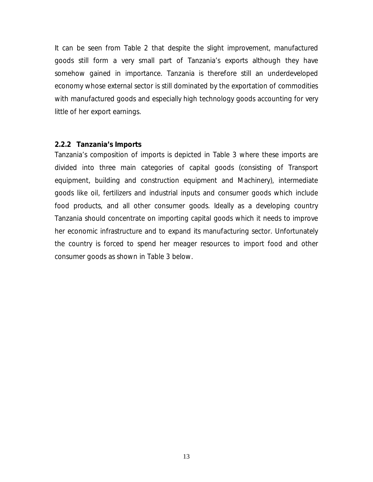It can be seen from Table 2 that despite the slight improvement, manufactured goods still form a very small part of Tanzania's exports although they have somehow gained in importance. Tanzania is therefore still an underdeveloped economy whose external sector is still dominated by the exportation of commodities with manufactured goods and especially high technology goods accounting for very little of her export earnings.

#### **2.2.2 Tanzania' s Imports**

Tanzania's composition of imports is depicted in Table 3 where these imports are divided into three main categories of capital goods (consisting of Transport equipment, building and construction equipment and Machinery), intermediate goods like oil, fertilizers and industrial inputs and consumer goods which include food products, and all other consumer goods. Ideally as a developing country Tanzania should concentrate on importing capital goods which it needs to improve her economic infrastructure and to expand its manufacturing sector. Unfortunately the country is forced to spend her meager resources to import food and other consumer goods as shown in Table 3 below.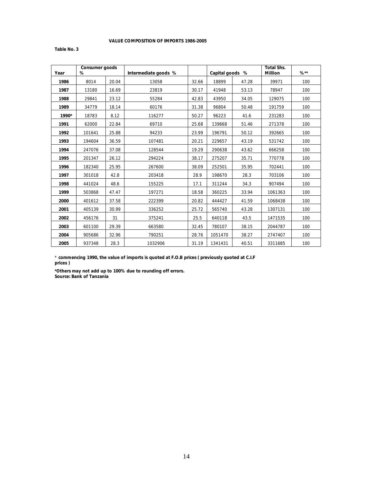#### **VALUE COMPOSITION OF IMPORTS 1986-2005**

**Table No. 3**

| Year  | <b>Consumer goods</b><br>% |       | Intermediate goods % |       | Capital goods % |       | <b>Total Shs.</b><br><b>Million</b> | $%^{**}$ |
|-------|----------------------------|-------|----------------------|-------|-----------------|-------|-------------------------------------|----------|
| 1986  | 8014                       | 20.04 | 13058                | 32.66 | 18899           | 47.28 | 39971                               | 100      |
| 1987  | 13180                      | 16.69 | 23819                | 30.17 | 41948           | 53.13 | 78947                               | 100      |
| 1988  | 29841                      | 23.12 | 55284                | 42.83 | 43950           | 34.05 | 129075                              | 100      |
| 1989  | 34779                      | 18.14 | 60176                | 31.38 | 96804           | 50.48 | 191759                              | 100      |
| 1990* | 18783                      | 8.12  | 116277               | 50.27 | 96223           | 41.6  | 231283                              | 100      |
| 1991  | 62000                      | 22.84 | 69710                | 25.68 | 139668          | 51.46 | 271378                              | 100      |
| 1992  | 101641                     | 25.88 | 94233                | 23.99 | 196791          | 50.12 | 392665                              | 100      |
| 1993  | 194604                     | 36.59 | 107481               | 20.21 | 229657          | 43.19 | 531742                              | 100      |
| 1994  | 247076                     | 37.08 | 128544               | 19.29 | 290638          | 43.62 | 666258                              | 100      |
| 1995  | 201347                     | 26.12 | 294224               | 38.17 | 275207          | 35.71 | 770778                              | 100      |
| 1996  | 182340                     | 25.95 | 267600               | 38.09 | 252501          | 35.95 | 702441                              | 100      |
| 1997  | 301018                     | 42.8  | 203418               | 28.9  | 198670          | 28.3  | 703106                              | 100      |
| 1998  | 441024                     | 48.6  | 155225               | 17.1  | 311244          | 34.3  | 907494                              | 100      |
| 1999  | 503868                     | 47.47 | 197271               | 18.58 | 360225          | 33.94 | 1061363                             | 100      |
| 2000  | 401612                     | 37.58 | 222399               | 20.82 | 444427          | 41.59 | 1068438                             | 100      |
| 2001  | 405139                     | 30.99 | 336252               | 25.72 | 565740          | 43.28 | 1307131                             | 100      |
| 2002  | 456176                     | 31    | 375241               | 25.5  | 640118          | 43.5  | 1471535                             | 100      |
| 2003  | 601100                     | 29.39 | 663580               | 32.45 | 780107          | 38.15 | 2044787                             | 100      |
| 2004  | 905686                     | 32.96 | 790251               | 28.76 | 1051470         | 38.27 | 2747407                             | 100      |
| 2005  | 937348                     | 28.3  | 1032906              | 31.19 | 1341431         | 40.51 | 3311685                             | 100      |

\* **commencing 1990, the value of imports is quoted at F.O.B prices ( previously quoted at C.I.F prices )**

**Source: Bank of Tanzania \*Others may not add up to 100% due to rounding off errors.**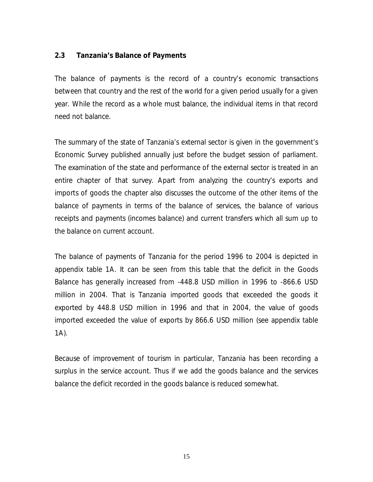#### **2.3 Tanzania' s Balance of Payments**

The balance of payments is the record of a country's economic transactions between that country and the rest of the world for a given period usually for a given year. While the record as a whole must balance, the individual items in that record need not balance.

The summary of the state of Tanzania's external sector is given in the government's *Economic Survey* published annually just before the budget session of parliament. The examination of the state and performance of the external sector is treated in an entire chapter of that survey. Apart from analyzing the country's exports and imports of goods the chapter also discusses the outcome of the other items of the balance of payments in terms of the balance of services, the balance of various receipts and payments (incomes balance) and current transfers which all sum up to the balance on current account.

The balance of payments of Tanzania for the period 1996 to 2004 is depicted in appendix table 1A. It can be seen from this table that the deficit in the Goods Balance has generally increased from -448.8 USD million in 1996 to -866.6 USD million in 2004. That is Tanzania imported goods that exceeded the goods it exported by 448.8 USD million in 1996 and that in 2004, the value of goods imported exceeded the value of exports by 866.6 USD million (see appendix table 1A).

Because of improvement of tourism in particular, Tanzania has been recording a surplus in the service account. Thus if we add the goods balance and the services balance the deficit recorded in the goods balance is reduced somewhat.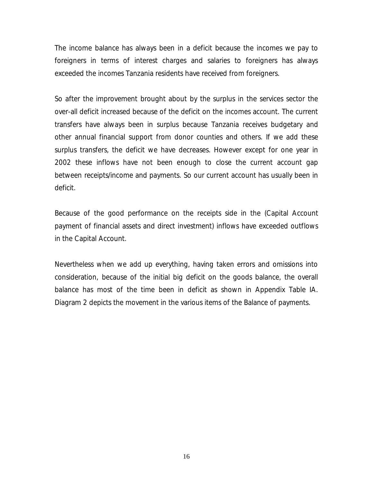The income balance has always been in a deficit because the incomes we pay to foreigners in terms of interest charges and salaries to foreigners has always exceeded the incomes Tanzania residents have received from foreigners.

So after the improvement brought about by the surplus in the services sector the over-all deficit increased because of the deficit on the incomes account. The current transfers have always been in surplus because Tanzania receives budgetary and other annual financial support from donor counties and others. If we add these surplus transfers, the deficit we have decreases. However except for one year in 2002 these inflows have not been enough to close the current account gap between receipts/income and payments. So our current account has usually been in deficit.

Because of the good performance on the receipts side in the (Capital Account payment of financial assets and direct investment) inflows have exceeded outflows in the Capital Account.

Nevertheless when we add up everything, having taken errors and omissions into consideration, because of the initial big deficit on the goods balance, the overall balance has most of the time been in deficit as shown in Appendix Table IA. Diagram 2 depicts the movement in the various items of the Balance of payments.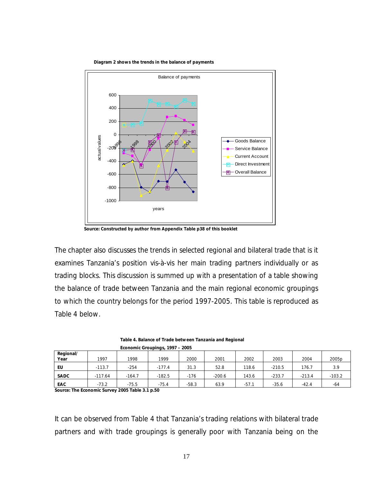



 **Source: Constructed by author from Appendix Table p38 of this booklet**

The chapter also discusses the trends in selected regional and bilateral trade that is it examines Tanzania's position *vis-à-vis* her main trading partners individually or as trading blocks. This discussion is summed up with a presentation of a table showing the balance of trade between Tanzania and the main regional economic groupings to which the country belongs for the period 1997-2005. This table is reproduced as Table 4 below.

|                   | Economic Groupings, 1997 - 2005 |          |          |         |          |         |          |          |                   |  |
|-------------------|---------------------------------|----------|----------|---------|----------|---------|----------|----------|-------------------|--|
| Regional/<br>Year | 1997                            | 1998     | 1999     | 2000    | 2001     | 2002    | 2003     | 2004     | 2005 <sub>p</sub> |  |
| EU                | $-113.7$                        | $-254$   | $-177.4$ | 31.3    | 52.8     | 118.6   | $-210.5$ | 176.7    | 3.9               |  |
| <b>SADC</b>       | $-117.64$                       | $-164.7$ | $-182.5$ | $-176$  | $-200.6$ | 143.6   | $-233.7$ | $-213.4$ | $-103.2$          |  |
| EAC               | $-73.2$                         | $-75.5$  | $-75.4$  | $-58.3$ | 63.9     | $-57.1$ | $-35.6$  | $-42.4$  | -64               |  |

**Table 4. Balance of Trade between Tanzania and Regional** 

**Source: The Economic Survey 2005 Table 3.1 p.50**

It can be observed from Table 4 that Tanzania's trading relations with bilateral trade partners and with trade groupings is generally poor with Tanzania being on the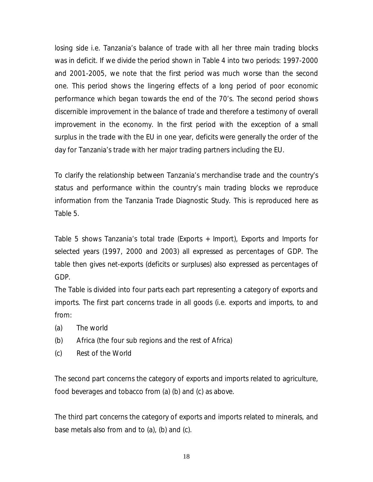losing side i.e. Tanzania's balance of trade with all her three main trading blocks was in deficit. If we divide the period shown in Table 4 into two periods: 1997-2000 and 2001-2005, we note that the first period was much worse than the second one. This period shows the lingering effects of a long period of poor economic performance which began towards the end of the 70' s. The second period shows discernible improvement in the balance of trade and therefore a testimony of overall improvement in the economy. In the first period with the exception of a small surplus in the trade with the EU in one year, deficits were generally the order of the surplus in the trade with the EU in one year, deficits were generally the ord<br>day for Tanzania's trade with her major trading partners including the EU.

To clarify the relationship between Tanzania's merchandise trade and the country's status and performance within the country's main trading blocks we reproduce information from the *Tanzania Trade Diagnostic Study.* This is reproduced here as Table 5.

Table 5 shows Tanzania's total trade (Exports + Import), Exports and Imports for selected years (1997, 2000 and 2003) all expressed as percentages of GDP. The table then gives net-exports (deficits or surpluses) also expressed as percentages of GDP.

The Table is divided into four parts each part representing a category of exports and imports. The first part concerns trade in all goods (i.e. exports and imports, to and from:

- (a) The world
- (b) Africa (the four sub regions and the rest of Africa)
- (c) Rest of the World

The second part concerns the category of exports and imports related to agriculture, food beverages and tobacco from (a) (b) and (c) as above.

The third part concerns the category of exports and imports related to minerals, and base metals also from and to (a), (b) and (c).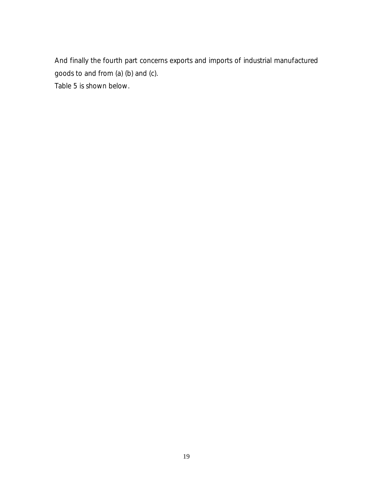And finally the fourth part concerns exports and imports of industrial manufactured goods to and from (a) (b) and (c).

Table 5 is shown below.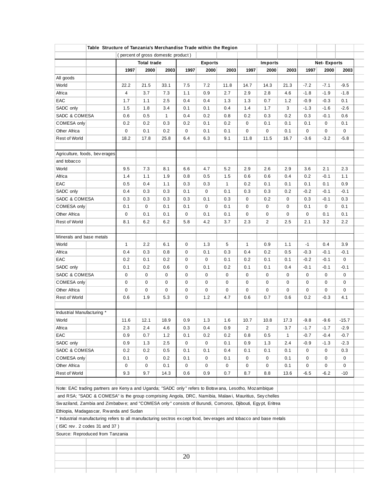| 1997<br>22.2<br>4<br>1.7<br>1.5<br>0.6<br>0.2<br>$\mathbf 0$<br>18.2<br>Agriculture, foods, beverages<br>9.5<br>1.4<br>0.5 | <b>Total trade</b><br>2000<br>21.5<br>3.7<br>1.1<br>1.8<br>0.5<br>0.2<br>0.1<br>17.8<br>7.3 | (percent of gross domestic product)<br>2003<br>33.1<br>7.3<br>2.5<br>3.4<br>1<br>0.3<br>0.2<br>25.8 | 1997<br>7.5<br>1.1<br>0.4<br>0.1<br>0.4<br>0.2<br>0<br>6.4 | <b>Exports</b><br>2000<br>7.2<br>0.9<br>0.4<br>0.1<br>0.2<br>0.1<br>0.1<br>6.3                        | 2003<br>11.8<br>2.7<br>1.3<br>0.4<br>0.8<br>0.2<br>0.1<br>9.1 | 1997<br>14.7<br>2.9<br>1.3<br>1.4<br>0.2<br>$\mathbf 0$<br>$\overline{0}$<br>11.8 | <b>Imports</b><br>2000<br>14.3<br>2.8<br>0.7<br>1.7<br>0.3<br>0.1<br>$\mathbf{0}$ | 2003<br>21.3<br>4.6<br>1.2<br>3<br>0.2<br>0.1<br>0.1 | 1997<br>$-7.2$<br>$-1.8$<br>$-0.9$<br>$-1.3$<br>0.3<br>0.1<br>$\overline{0}$ | <b>Net-Exports</b><br>2000<br>$-7.1$<br>$-1.9$<br>$-0.3$<br>$-1.6$<br>$-0.1$<br>$\overline{0}$<br>$\overline{0}$ | 2003<br>$-9.5$<br>$-1.8$<br>0.1<br>$-2.6$<br>0.6<br>0.1<br>$\overline{0}$ |
|----------------------------------------------------------------------------------------------------------------------------|---------------------------------------------------------------------------------------------|-----------------------------------------------------------------------------------------------------|------------------------------------------------------------|-------------------------------------------------------------------------------------------------------|---------------------------------------------------------------|-----------------------------------------------------------------------------------|-----------------------------------------------------------------------------------|------------------------------------------------------|------------------------------------------------------------------------------|------------------------------------------------------------------------------------------------------------------|---------------------------------------------------------------------------|
|                                                                                                                            |                                                                                             |                                                                                                     |                                                            |                                                                                                       |                                                               |                                                                                   |                                                                                   |                                                      |                                                                              |                                                                                                                  |                                                                           |
|                                                                                                                            |                                                                                             |                                                                                                     |                                                            |                                                                                                       |                                                               |                                                                                   |                                                                                   |                                                      |                                                                              |                                                                                                                  |                                                                           |
|                                                                                                                            |                                                                                             |                                                                                                     |                                                            |                                                                                                       |                                                               |                                                                                   |                                                                                   |                                                      |                                                                              |                                                                                                                  |                                                                           |
|                                                                                                                            |                                                                                             |                                                                                                     |                                                            |                                                                                                       |                                                               |                                                                                   |                                                                                   |                                                      |                                                                              |                                                                                                                  |                                                                           |
|                                                                                                                            |                                                                                             |                                                                                                     |                                                            |                                                                                                       |                                                               |                                                                                   |                                                                                   |                                                      |                                                                              |                                                                                                                  |                                                                           |
|                                                                                                                            |                                                                                             |                                                                                                     |                                                            |                                                                                                       |                                                               |                                                                                   |                                                                                   |                                                      |                                                                              |                                                                                                                  |                                                                           |
|                                                                                                                            |                                                                                             |                                                                                                     |                                                            |                                                                                                       |                                                               |                                                                                   |                                                                                   |                                                      |                                                                              |                                                                                                                  |                                                                           |
|                                                                                                                            |                                                                                             |                                                                                                     |                                                            |                                                                                                       |                                                               |                                                                                   |                                                                                   |                                                      |                                                                              |                                                                                                                  |                                                                           |
|                                                                                                                            |                                                                                             |                                                                                                     |                                                            |                                                                                                       |                                                               |                                                                                   |                                                                                   |                                                      |                                                                              |                                                                                                                  |                                                                           |
|                                                                                                                            |                                                                                             |                                                                                                     |                                                            |                                                                                                       |                                                               |                                                                                   |                                                                                   |                                                      |                                                                              |                                                                                                                  |                                                                           |
|                                                                                                                            |                                                                                             |                                                                                                     |                                                            |                                                                                                       |                                                               |                                                                                   |                                                                                   |                                                      |                                                                              |                                                                                                                  |                                                                           |
|                                                                                                                            |                                                                                             |                                                                                                     |                                                            |                                                                                                       |                                                               |                                                                                   | 11.5                                                                              | 16.7                                                 | $-3.6$                                                                       | $-3.2$                                                                                                           | $-5.8$                                                                    |
|                                                                                                                            |                                                                                             |                                                                                                     |                                                            |                                                                                                       |                                                               |                                                                                   |                                                                                   |                                                      |                                                                              |                                                                                                                  |                                                                           |
|                                                                                                                            |                                                                                             |                                                                                                     |                                                            |                                                                                                       |                                                               |                                                                                   |                                                                                   |                                                      |                                                                              |                                                                                                                  |                                                                           |
|                                                                                                                            |                                                                                             | 8.1                                                                                                 | 6.6                                                        | 4.7                                                                                                   | 5.2                                                           | 2.9                                                                               | 2.6                                                                               | 2.9                                                  | 3.6                                                                          | 2.1                                                                                                              | 2.3                                                                       |
|                                                                                                                            | 1.1                                                                                         | 1.9                                                                                                 | 0.8                                                        | 0.5                                                                                                   | 1.5                                                           | 0.6                                                                               | 0.6                                                                               | 0.4                                                  | 0.2                                                                          | $-0.1$                                                                                                           | 1.1                                                                       |
|                                                                                                                            | 0.4                                                                                         | 1.1                                                                                                 | 0.3                                                        | 0.3                                                                                                   | $\mathbf{1}$                                                  | 0.2                                                                               | 0.1                                                                               | 0.1                                                  | 0.1                                                                          | 0.1                                                                                                              | 0.9                                                                       |
| 0.4                                                                                                                        | 0.3                                                                                         | 0.3                                                                                                 | 0.1                                                        | $\mathbf{0}$                                                                                          | 0.1                                                           | 0.3                                                                               | 0.3                                                                               | 0.2                                                  | $-0.2$                                                                       | $-0.1$                                                                                                           | $-0.1$                                                                    |
| 0.3                                                                                                                        | 0.3                                                                                         | 0.3                                                                                                 | 0.3                                                        | 0.1                                                                                                   | 0.3                                                           | $\overline{0}$                                                                    | 0.2                                                                               | $\mathbf 0$                                          | 0.3                                                                          | $-0.1$                                                                                                           | 0.3                                                                       |
| 0.1                                                                                                                        | $\mathbf{0}$                                                                                | 0.1                                                                                                 | 0.1                                                        | $\mathbf{0}$                                                                                          | 0.1                                                           | $\overline{0}$                                                                    | $\mathbf{0}$                                                                      | 0                                                    | 0.1                                                                          | $\overline{0}$                                                                                                   | 0.1                                                                       |
| $\mathbf 0$                                                                                                                | 0.1                                                                                         | 0.1                                                                                                 | $\overline{0}$                                             | 0.1                                                                                                   | 0.1                                                           | $\mathbf 0$                                                                       | $\mathbf{0}$                                                                      | $\mathbf 0$                                          | $\overline{0}$                                                               | 0.1                                                                                                              | 0.1                                                                       |
| 8.1                                                                                                                        | 6.2                                                                                         | 6.2                                                                                                 | 5.8                                                        | 4.2                                                                                                   | 3.7                                                           | 2.3                                                                               | $\overline{2}$                                                                    | 2.5                                                  | 2.1                                                                          | 3.2                                                                                                              | 2.2                                                                       |
|                                                                                                                            |                                                                                             |                                                                                                     |                                                            |                                                                                                       |                                                               |                                                                                   |                                                                                   |                                                      |                                                                              |                                                                                                                  |                                                                           |
| $\mathbf{1}$                                                                                                               | 2.2                                                                                         | 6.1                                                                                                 | $\mathbf{0}$                                               | 1.3                                                                                                   | 5                                                             | $\mathbf{1}$                                                                      | 0.9                                                                               | 1.1                                                  | $-1$                                                                         | 0.4                                                                                                              | 3.9                                                                       |
| 0.4                                                                                                                        | 0.3                                                                                         | 0.8                                                                                                 | $\overline{0}$                                             | 0.1                                                                                                   | 0.3                                                           | 0.4                                                                               | 0.2                                                                               | 0.5                                                  | $-0.3$                                                                       | $-0.1$                                                                                                           | $-0.1$                                                                    |
| 0.2                                                                                                                        | 0.1                                                                                         | 0.2                                                                                                 | $\overline{0}$                                             | $\mathbf{0}$                                                                                          | 0.1                                                           | 0.2                                                                               | 0.1                                                                               | 0.1                                                  | $-0.2$                                                                       | $-0.1$                                                                                                           | $\mathbf{0}$                                                              |
| 0.1                                                                                                                        | 0.2                                                                                         | 0.6                                                                                                 | $\overline{0}$                                             | 0.1                                                                                                   | 0.2                                                           | 0.1                                                                               | 0.1                                                                               | 0.4                                                  | $-0.1$                                                                       | $-0.1$                                                                                                           | $-0.1$                                                                    |
| $\mathbf 0$                                                                                                                | $\overline{0}$                                                                              | 0                                                                                                   | $\mathbf 0$                                                | $\mathbf{0}$                                                                                          | 0                                                             | $\overline{0}$                                                                    | $\overline{0}$                                                                    | $\mathbf 0$                                          | $\mathbf 0$                                                                  | $\overline{0}$                                                                                                   | $\overline{0}$                                                            |
| $\overline{0}$                                                                                                             | $\mathbf{0}$                                                                                | $\overline{0}$                                                                                      | $\overline{0}$                                             | $\mathbf{0}$                                                                                          | 0                                                             | $\overline{0}$                                                                    | $\mathbf{0}$                                                                      | $\mathbf 0$                                          | $\overline{0}$                                                               | $\overline{0}$                                                                                                   | $\mathbf{0}$                                                              |
| $\mathbf{0}$                                                                                                               | $\mathbf{0}$                                                                                | 0                                                                                                   | $\overline{0}$                                             | $\mathbf 0$                                                                                           | 0                                                             | $\overline{0}$                                                                    | $\mathbf{0}$                                                                      | $\mathbf{0}$                                         | $\overline{0}$                                                               | $\Omega$                                                                                                         | $\mathbf{0}$                                                              |
| 0.6                                                                                                                        | 1.9                                                                                         | 5.3                                                                                                 | $\overline{0}$                                             | 1.2                                                                                                   | 4.7                                                           | 0.6                                                                               | 0.7                                                                               | 0.6                                                  | 0.2                                                                          | $-0.3$                                                                                                           | 4.1                                                                       |
|                                                                                                                            |                                                                                             |                                                                                                     |                                                            |                                                                                                       |                                                               |                                                                                   |                                                                                   |                                                      |                                                                              |                                                                                                                  |                                                                           |
| 11.6                                                                                                                       | 12.1                                                                                        | 18.9                                                                                                | 0.9                                                        | 1.3                                                                                                   | 1.6                                                           | 10.7                                                                              | 10.8                                                                              | 17.3                                                 | $-9.8$                                                                       | $-9.6$                                                                                                           | $-15.7$                                                                   |
| 2.3                                                                                                                        | 2.4                                                                                         | 4.6                                                                                                 | 0.3                                                        | 0.4                                                                                                   | 0.9                                                           | $\overline{2}$                                                                    | 2                                                                                 | 3.7                                                  | $-1.7$                                                                       | $-1.7$                                                                                                           | $-2.9$                                                                    |
| 0.9                                                                                                                        | 0.7                                                                                         | 1.2                                                                                                 | 0.1                                                        | 0.2                                                                                                   | 0.2                                                           | 0.8                                                                               | 0.5                                                                               | $\mathbf{1}$                                         | $-0.7$                                                                       | $-0.4$                                                                                                           | $-0.7$                                                                    |
| 0.9                                                                                                                        | 1.3                                                                                         | 2.5                                                                                                 | 0                                                          | 0                                                                                                     | 0.1                                                           | 0.9                                                                               | 1.3                                                                               | 2.4                                                  | $-0.9$                                                                       | $-1.3$                                                                                                           | $-2.3$                                                                    |
| 0.2                                                                                                                        | 0.2                                                                                         | 0.5                                                                                                 | 0.1                                                        | 0.1                                                                                                   | 0.4                                                           | 0.1                                                                               | 0.1                                                                               | 0.1                                                  | 0                                                                            | 0                                                                                                                | 0.3                                                                       |
| 0.1                                                                                                                        | 0                                                                                           | 0.2                                                                                                 | 0.1                                                        | 0                                                                                                     | 0.1                                                           | 0                                                                                 | 0                                                                                 | 0.1                                                  | 0                                                                            | 0                                                                                                                | 0                                                                         |
| $\mathbf 0$                                                                                                                | 0                                                                                           | 0.1                                                                                                 | $\overline{0}$                                             | 0                                                                                                     | 0                                                             | 0                                                                                 | 0                                                                                 | 0.1                                                  | 0                                                                            | 0                                                                                                                | $\mathbf 0$                                                               |
| 9.3                                                                                                                        | 9.7                                                                                         | 14.3                                                                                                | 0.6                                                        | 0.9                                                                                                   | 0.7                                                           | 8.7                                                                               | 8.8                                                                               | 13.6                                                 | $-6.5$                                                                       | $-6.2$                                                                                                           | $-10$                                                                     |
|                                                                                                                            | Minerals and base metals<br>Industrial Manufacturing *                                      |                                                                                                     |                                                            | Note: EAC trading partners are Keny a and Uganda; "SADC only" refers to Botswana, Lesotho, Mozambique |                                                               |                                                                                   |                                                                                   |                                                      |                                                                              |                                                                                                                  |                                                                           |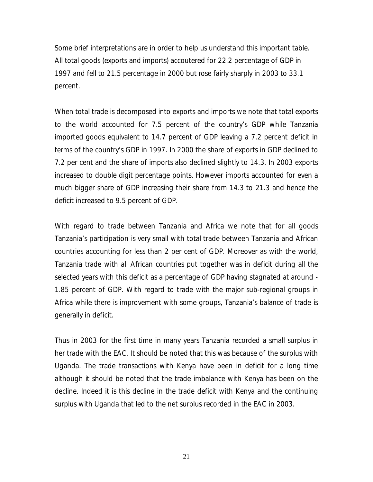Some brief interpretations are in order to help us understand this important table. All total goods (exports and imports) accoutered for 22.2 percentage of GDP in 1997 and fell to 21.5 percentage in 2000 but rose fairly sharply in 2003 to 33.1 percent.

When total trade is decomposed into exports and imports we note that total exports When total trade is decomposed into exports and imports we note that total exports<br>to the world accounted for 7.5 percent of the country's GDP while Tanzania imported goods equivalent to 14.7 percent of GDP leaving a 7.2 percent deficit in imported goods equivalent to 14.7 percent of GDP leaving a 7.2 percent deficit in<br>terms of the country's GDP in 1997. In 2000 the share of exports in GDP declined to 7.2 per cent and the share of imports also declined slightly to 14.3. In 2003 exports increased to double digit percentage points. However imports accounted for even a much bigger share of GDP increasing their share from 14.3 to 21.3 and hence the deficit increased to 9.5 percent of GDP.

With regard to trade between Tanzania and Africa we note that for all goods With regard to trade between Tanzania and Africa we note that for all goods<br>Tanzania's participation is very small with total trade between Tanzania and African countries accounting for less than 2 per cent of GDP. Moreover as with the world, Tanzania trade with all African countries put together was in deficit during all the selected years with this deficit as a percentage of GDP having stagnated at around - 1.85 percent of GDP. With regard to trade with the major sub-regional groups in 1.85 percent of GDP. With regard to trade with the major sub-regional groups in<br>Africa while there is improvement with some groups, Tanzania's balance of trade is generally in deficit.

Thus in 2003 for the first time in many years Tanzania recorded a small surplus in her trade with the EAC. It should be noted that this was because of the surplus with Uganda. The trade transactions with Kenya have been in deficit for a long time although it should be noted that the trade imbalance with Kenya has been on the decline. Indeed it is this decline in the trade deficit with Kenya and the continuing surplus with Uganda that led to the net surplus recorded in the EAC in 2003.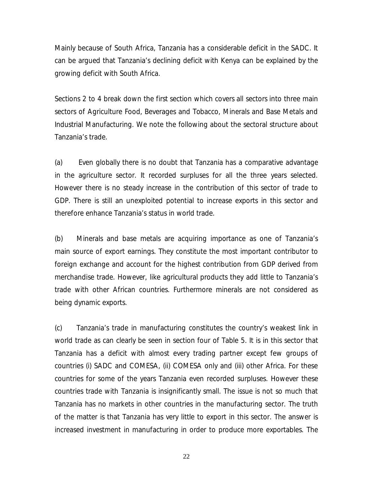Mainly because of South Africa, Tanzania has a considerable deficit in the SADC. It Mainly because of South Africa, Tanzania has a considerable deficit in the SADC. It<br>can be argued that Tanzania's declining deficit with Kenya can be explained by the growing deficit with South Africa.

Sections 2 to 4 break down the first section which covers all sectors into three main sectors of Agriculture Food, Beverages and Tobacco, Minerals and Base Metals and Industrial Manufacturing. We note the following about the sectoral structure about Industrial Manufac<br>Tanzania's trade.

(a) Even globally there is no doubt that Tanzania has a comparative advantage in the agriculture sector. It recorded surpluses for all the three years selected. However there is no steady increase in the contribution of this sector of trade to GDP. There is still an unexploited potential to increase exports in this sector and GDP. There is still an unexploited potential to incre<br>therefore enhance Tanzania's status in world trade.

(b) Minerals and base metals are acquiring importance as one of Tanzania' s main source of export earnings. They constitute the most important contributor to foreign exchange and account for the highest contribution from GDP derived from merchandise trade. However, like agricultural products they add little to Tanzania' s trade with other African countries. Furthermore minerals are not considered as being dynamic exports.

(c) Tanzania's trade in manufacturing constitutes the country's weakest link in world trade as can clearly be seen in section four of Table 5. It is in this sector that Tanzania has a deficit with almost every trading partner except few groups of countries (i) SADC and COMESA, (ii) COMESA only and (iii) other Africa. For these countries for some of the years Tanzania even recorded surpluses. However these countries trade with Tanzania is insignificantly small. The issue is not so much that Tanzania has no markets in other countries in the manufacturing sector. The truth of the matter is that Tanzania has very little to export in this sector. The answer is increased investment in manufacturing in order to produce more exportables. The

22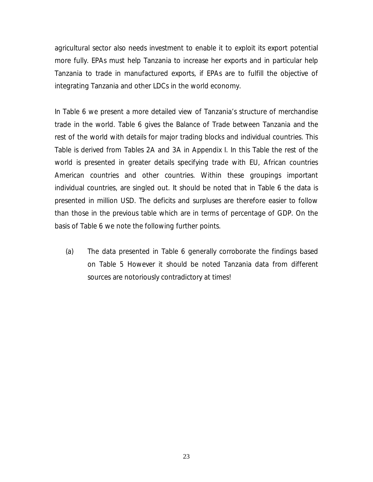agricultural sector also needs investment to enable it to exploit its export potential more fully. EPAs must help Tanzania to increase her exports and in particular help Tanzania to trade in manufactured exports, if EPAs are to fulfill the objective of integrating Tanzania and other LDCs in the world economy.

In Table 6 we present a more detailed view of Tanzania' s structure of merchandise trade in the world. Table 6 gives the Balance of Trade between Tanzania and the rest of the world with details for major trading blocks and individual countries. This Table is derived from Tables 2A and 3A in Appendix I. In this Table the rest of the world is presented in greater details specifying trade with EU, African countries American countries and other countries. Within these groupings important individual countries, are singled out. It should be noted that in Table 6 the data is presented in million USD. The deficits and surpluses are therefore easier to follow than those in the previous table which are in terms of percentage of GDP. On the basis of Table 6 we note the following further points.

(a) The data presented in Table 6 generally corroborate the findings based on Table 5 However it should be noted Tanzania data from different sources are notoriously contradictory at times!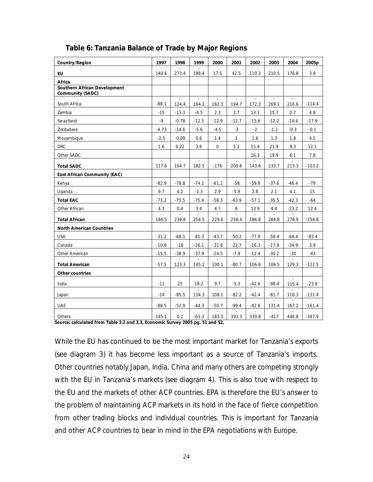| <b>Country/Region</b>                                          | 1997        | 1998        | 1999    | 2000                    | 2001    | 2002        | 2003        | 2004            | 2005 <sub>p</sub> |
|----------------------------------------------------------------|-------------|-------------|---------|-------------------------|---------|-------------|-------------|-----------------|-------------------|
| <b>EU</b>                                                      | 140.6       | 273.4       | 198.4   | 17.5                    | 42.5    | 110.3       | 210.5       | 176.8           | 3.9               |
| Africa                                                         |             |             |         |                         |         |             |             |                 |                   |
| <b>Southern African Development</b><br><b>Community (SADC)</b> |             |             |         |                         |         |             |             |                 |                   |
| South Africa                                                   | $-88.1$     | ÷,<br>124.4 | 164.2   | $\mathbb{Z}^2$<br>162.3 | 194.7   | ÷,<br>172.3 | ä,<br>269.1 | 216.6           | $-114.4$          |
| Zambia                                                         | $-15$       | $-13.3$     | $-4.5$  | 2.3                     | 3.7     | 13.1        | 15.7        | 0.7             | 4.8               |
| Swaziland                                                      | $-9$        | $-0.78$     | $-12.5$ | $-12.9$                 | $-12.7$ | $-15.6$     | $-12.2$     | $-14.4$         | $-17.9$           |
| Zimbabwe                                                       | $-4.73$     | $-14.6$     | $-5.6$  | $-4.5$                  | $-3$    | $-2$        | $-1.2$      | $-0.3$          | $-0.1$            |
| Mozambique                                                     | $-2.5$      | $-0.09$     | 0.6     | 1.4                     | 1       | 1.6         | 1.3         | 1.8             | 4.5               |
| <b>DRC</b>                                                     | 1.6         | 0.22        | 3.6     | $\mathbf 0$             | 5.2     | 15.4        | 21.9        | 9.3             | 12.1              |
| Other SADC                                                     |             |             |         |                         |         | 16.3        | 19.9        | 6.1             | 7.8               |
| <b>Total SADC</b>                                              | ÷.<br>117.6 | 164.7       | 182.5   | $-176$                  | 200.6   | 143.6       | 233.7       | 213.3           | $-103.2$          |
| <b>East African Community (EAC)</b>                            |             |             |         |                         |         |             |             |                 |                   |
| Kenya                                                          | $-82.9$     | $-79.8$     | $-74.1$ | $-61.2$                 | $-58$   | $-59.9$     | $-37.6$     | $-46.4$         | $-79$             |
| Uganda                                                         | 9.7         | 4.2         | $-1.3$  | 2.9                     | $-5.9$  | 2.8         | 2.1         | 4.1             | 15                |
| <b>Total EAC</b>                                               | $-73.2$     | $-75.5$     | $-75.4$ | $-58.3$                 | $-63.9$ | $-57.1$     | $-35.5$     | $-42.3$         | $-64$             |
| Other African                                                  | 4.3         | 0.4         | 3.4     | 4.7                     | 6       | 13.9        | 4.4         | $-23.2$         | 12.4              |
| <b>Total African</b>                                           | 186.5       | 239.8       | 254.5   | 229.6                   | 258.4   | 186.8       | 264.8       | 278.9           | $-154.8$          |
| <b>North American Countries</b>                                |             |             |         |                         |         |             |             |                 |                   |
| <b>USA</b>                                                     | $-31.2$     | $-68.5$     | $-81.3$ | $-43.7$                 | $-50.2$ | $-77.9$     | $-58.4$     | $-64.4$         | $-83.4$           |
| Canada                                                         | $-10.8$     | $-16$       | $-26.1$ | $-31.8$                 | $-22.7$ | $-16.3$     | $-17.9$     | $-34.9$         | 3.9               |
| Other American                                                 | $-15.5$     | $-38.9$     | $-37.9$ | $-24.5$                 | $-7.9$  | $-12.4$     | $-30.2$     | $-30$           | -43               |
| <b>Total American</b>                                          | $-57.5$     | 123.3       | 145.2   | 100.1                   | $-80.7$ | 106.6       | 106.5       | $\sim$<br>129.3 | $-122.5$          |
| Other countries                                                |             |             |         |                         |         |             |             |                 |                   |
| India                                                          | $-11$       | 25          | 18.2    | 9.7                     | $-5.3$  | $-42.6$     | $-98.4$     | 115.4           | $-23.9$           |
| Japan                                                          | $-14$       | $-85.5$     | 134.3   | 108.1                   | $-82.2$ | $-42.4$     | $-81.7$     | 116.3           | $-131.4$          |
| <b>UAE</b>                                                     | $-88.5$     | $-52.9$     | $-44.3$ | $-50.7$                 | $-99.4$ | $-82.8$     | 131.4       | 167.2           | $-161.4$          |
| Others                                                         | 145.1       | 0.2         | $-63.3$ | 183.3                   | 393.3   | 339.8       | $-417$      | 446.8           | $-347.9$          |

#### **Table 6: Tanzania Balance of Trade by Major Regions**

**Source: calculated from Table 3.2 and 3.3, Economic Survey 2005 pg. 51 and 52,** 

Source: calculated from Table 3.2 and 3.3, Economic Survey 2005 pg. 51 and 52,<br>While the EU has continued to be the most important market for Tanzania's exports While the EU has continued to be the most important market for Tanzania's exports<br>(see diagram 3) it has become less important as a source of Tanzania's imports. Other countries notably Japan, India, China and many others are competing strongly Other countries notably Japan, India, China and many others are competing strongly<br>with the EU in Tanzania's markets (see diagram 4). This is also true with respect to with the EU in Tanzania's markets (see diagram 4). This is also true with respect to<br>the EU and the markets of other ACP countries. EPA is therefore the EU's answer to the problem of maintaining ACP markets in its hold in the face of fierce competition from other trading blocks and individual countries. This is important for Tanzania and other ACP countries to bear in mind in the EPA negotiations with Europe.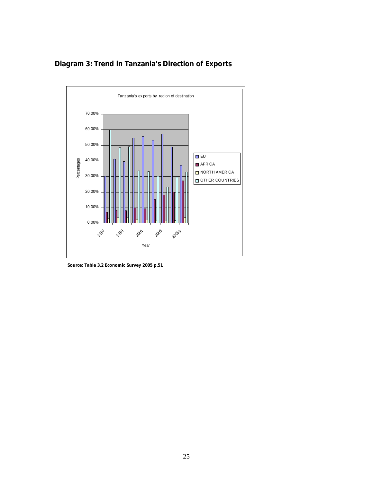

**Diagram 3: Trend in Tanzania's Direction of Exports** 

 **Source: Table 3.2 Economic Survey 2005 p.51**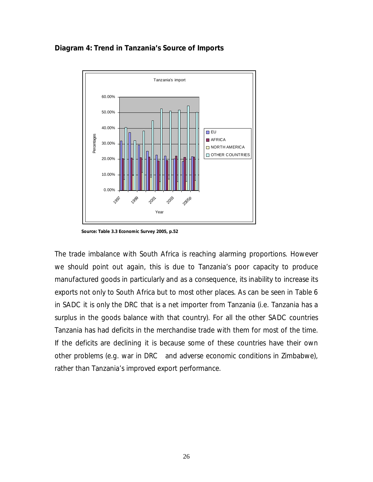#### **Diagram 4: Trend in Tanzania's Source of Imports**



 **Source: Table 3.3 Economic Survey 2005, p.52**

The trade imbalance with South Africa is reaching alarming proportions. However we should point out again, this is due to Tanzania's poor capacity to produce manufactured goods in particularly and as a consequence, its inability to increase its exports not only to South Africa but to most other places. As can be seen in Table 6 in SADC it is only the DRC that is a net importer from Tanzania (i.e. Tanzania has a surplus in the goods balance with that country). For all the other SADC countries Tanzania has had deficits in the merchandise trade with them for most of the time. If the deficits are declining it is because some of these countries have their own other problems (e.g. war in DRC and adverse economic conditions in Zimbabwe), other problems (e.g. war in DRC and adverse econor<br>rather than Tanzania's improved export performance.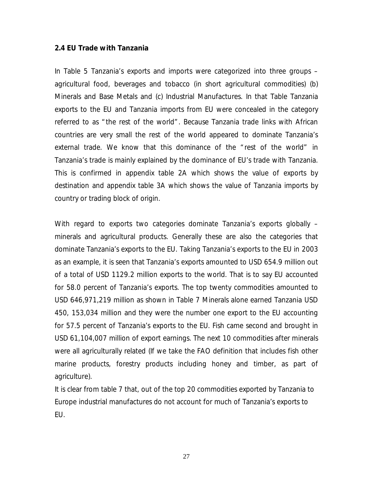#### **2.4 EU Trade with Tanzania**

In Table 5 Tanzania's exports and imports were categorized into three groups agricultural food, beverages and tobacco (in short agricultural commodities) (b) Minerals and Base Metals and (c) Industrial Manufactures. In that Table Tanzania exports to the EU and Tanzania imports from EU were concealed in the category exports to the EU and Tanzania imports from EU were concealed in the category<br>referred to as "the rest of the world" . Because Tanzania trade links with African referred to as "the rest of the world". Because Tanzania trade links with African<br>countries are very small the rest of the world appeared to dominate Tanzania's countries are very small the rest of the world appeared to dominate Tanzania's<br>external trade. We know that this dominance of the "rest of the world" in external trade. We know that this dominance of the "rest of the world" in<br>Tanzania's trade is mainly explained by the dominance of EU's trade with Tanzania. This is confirmed in appendix table 2A which shows the value of exports by destination and appendix table 3A which shows the value of Tanzania imports by country or trading block of origin.

With regard to exports two categories dominate Tanzania's exports globally minerals and agricultural products. Generally these are also the categories that minerals and agricultural products. Generally these are also the categories that<br>dominate Tanzania's exports to the EU. Taking Tanzania's exports to the EU in 2003 dominate Tanzania's exports to the EU. Taking Tanzania's exports to the EU in 2003<br>as an example, it is seen that Tanzania's exports amounted to USD 654.9 million out of a total of USD 1129.2 million exports to the world. That is to say EU accounted for 58.0 percent of Tanzania's exports. The top twenty commodities amounted to USD 646,971,219 million as shown in Table 7 Minerals alone earned Tanzania USD 450, 153,034 million and they were the number one export to the EU accounting 450, 153,034 million and they were the number one export to the EU accounting<br>for 57.5 percent of Tanzania's exports to the EU. Fish came second and brought in USD 61,104,007 million of export earnings. The next 10 commodities after minerals were all agriculturally related (If we take the FAO definition that includes fish other marine products, forestry products including honey and timber, as part of agriculture).

It is clear from table 7 that, out of the top 20 commodities exported by Tanzania to It is clear from table 7 that, out of the top 20 commodities exported by Tanzania to<br>Europe industrial manufactures do not account for much of Tanzania's exports to EU.

27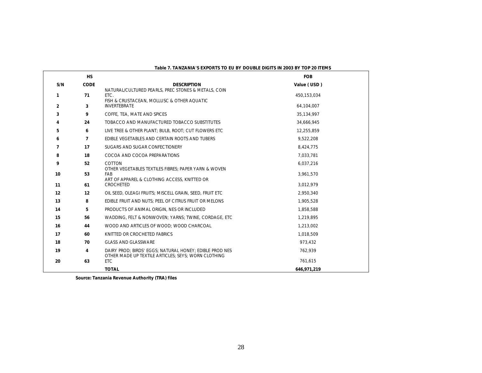|                | <b>HS</b>   |                                                                                                                | <b>FOB</b>  |
|----------------|-------------|----------------------------------------------------------------------------------------------------------------|-------------|
| S/N            | <b>CODE</b> | <b>DESCRIPTION</b>                                                                                             | Value (USD) |
| 1              | 71          | NATURAL/CULTURED PEARLS, PREC STONES & METALS, COIN<br>FTC.<br>FISH & CRUSTACEAN, MOLLUSC & OTHER AQUATIC      | 450,153,034 |
| $\mathbf{2}$   | 3           | <b>INVERTEBRATE</b>                                                                                            | 64,104,007  |
| 3              | 9           | COFFE, TEA, MATE AND SPICES                                                                                    | 35,134,997  |
| 4              | 24          | TOBACCO AND MANUFACTURED TOBACCO SUBSTITUTES                                                                   | 34,666,945  |
| 5              | 6           | LIVE TREE & OTHER PLANT: BULB. ROOT: CUT FLOWERS ETC                                                           | 12,255,859  |
| 6              | 7           | EDIBLE VEGETABLES AND CERTAIN ROOTS AND TUBERS                                                                 | 9,522,208   |
| $\overline{7}$ | 17          | SUGARS AND SUGAR CONFECTIONERY                                                                                 | 8,424,775   |
| 8              | 18          | COCOA AND COCOA PREPARATIONS                                                                                   | 7,033,781   |
| 9              | 52          | COTTON                                                                                                         | 6,037,216   |
| 10             | 53          | OTHER VEGETABLES TEXTILES FIBRES: PAPER YARN & WOVEN<br>FAB<br>ART OF APPAREL & CLOTHING ACCESS, KNITTED OR    | 3,961,570   |
| 11             | 61          | CROCHETED                                                                                                      | 3.012.979   |
| 12             | 12          | OIL SEED, OLEAGI FRUITS; MISCELL GRAIN, SEED, FRUIT ETC                                                        | 2,950,340   |
| 13             | 8           | EDIBLE FRUIT AND NUTS: PEEL OF CITRUS FRUIT OR MELONS                                                          | 1,905,528   |
| 14             | 5.          | PRODUCTS OF ANIMAL ORIGIN, NES OR INCLUDED                                                                     | 1,858,588   |
| 15             | 56          | WADDING, FELT & NONWOVEN: YARNS: TWINE, CORDAGE, ETC                                                           | 1,219,895   |
| 16             | 44          | WOOD AND ARTICLES OF WOOD; WOOD CHARCOAL                                                                       | 1,213,002   |
| 17             | 60          | KNITTED OR CROCHETED FABRICS                                                                                   | 1,018,509   |
| 18             | 70          | <b>GLASS AND GLASSWARE</b>                                                                                     | 973.432     |
| 19             | 4           | DAIRY PROD: BIRDS' EGGS: NATURAL HONEY: EDIBLE PROD NES<br>OTHER MADE UP TEXTILE ARTICLES; SEYS; WORN CLOTHING | 762.939     |
| 20             | 63          | <b>ETC</b>                                                                                                     | 761,615     |
|                |             | <b>TOTAL</b>                                                                                                   | 646.971.219 |

**Table 7. TANZANIA'S EXPORTS TO EU BY DOUBLE DIGITS IN 2003 BY TOP 20 ITEMS**

**Source: Tanzania Revenue Authority (TRA) files**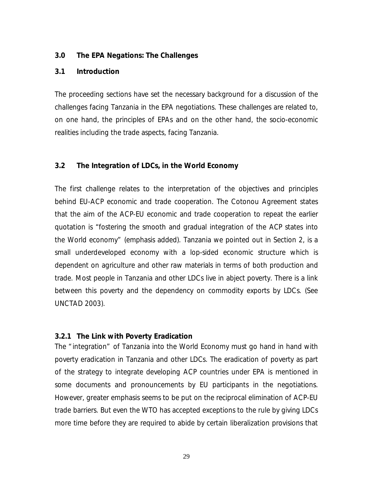#### **3.0 The EPA Negations: The Challenges**

#### **3.1 Introduction**

The proceeding sections have set the necessary background for a discussion of the challenges facing Tanzania in the EPA negotiations. These challenges are related to, on one hand, the principles of EPAs and on the other hand, the socio-economic realities including the trade aspects, facing Tanzania.

#### **3.2 The Integration of LDCs, in the World Economy**

The first challenge relates to the interpretation of the objectives and principles behind EU-ACP economic and trade cooperation. The Cotonou Agreement states that the aim of the ACP-EU economic and trade cooperation to repeat the earlier that the aim of the ACP-EU economic and trade cooperation to repeat the earlier<br>quotation is *"fostering the smooth and gradual integration of the ACP states into the World economy*" (emphasis added). Tanzania we pointed out in Section 2, is a small underdeveloped economy with a lop-sided economic structure which is dependent on agriculture and other raw materials in terms of both production and trade. Most people in Tanzania and other LDCs live in abject poverty. There is a link between this poverty and the dependency on commodity exports by LDCs. (See UNCTAD 2003).

#### **3.2.1 The Link with Poverty Eradication**

The " integration" of Tanzania into the World Economy must go hand in hand with poverty eradication in Tanzania and other LDCs. The eradication of poverty as part of the strategy to integrate developing ACP countries under EPA is mentioned in some documents and pronouncements by EU participants in the negotiations. However, greater emphasis seems to be put on the reciprocal elimination of ACP-EU trade barriers. But even the WTO has accepted exceptions to the rule by giving LDCs more time before they are required to abide by certain liberalization provisions that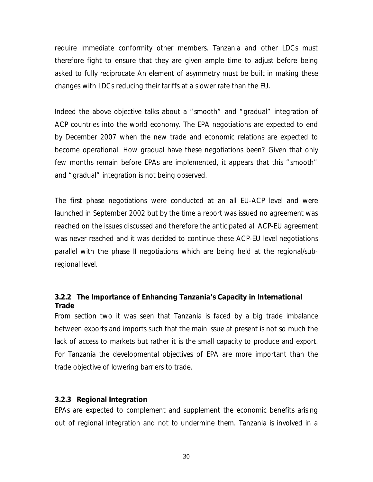require immediate conformity other members. Tanzania and other LDCs must therefore fight to ensure that they are given ample time to adjust before being asked to fully reciprocate An element of asymmetry must be built in making these changes with LDCs reducing their tariffs at a slower rate than the EU.

Indeed the above objective talks about a " smooth" and " gradual" integration of ACP countries into the world economy. The EPA negotiations are expected to end by December 2007 when the new trade and economic relations are expected to become operational. How gradual have these negotiations been? Given that only become operational. How gradual have these negotiations been? Given that only<br>few months remain before EPAs are implemented, it appears that this " smooth" few months remain before EPAs are implemented, it appears that this "smooth" and "gradual" integration is not being observed.

The first phase negotiations were conducted at an all EU-ACP level and were launched in September 2002 but by the time a report was issued no agreement was reached on the issues discussed and therefore the anticipated all ACP-EU agreement was never reached and it was decided to continue these ACP-EU level negotiations parallel with the phase II negotiations which are being held at the regional/subregional level.

#### **3.2.2 The Importance of Enhancing Tanzania' s Capacity in International Trade**

From section two it was seen that Tanzania is faced by a big trade imbalance between exports and imports such that the main issue at present is not so much the lack of access to markets but rather it is the small capacity to produce and export. For Tanzania the developmental objectives of EPA are more important than the trade objective of lowering barriers to trade.

#### **3.2.3 Regional Integration**

EPAs are expected to complement and supplement the economic benefits arising out of regional integration and not to undermine them. Tanzania is involved in a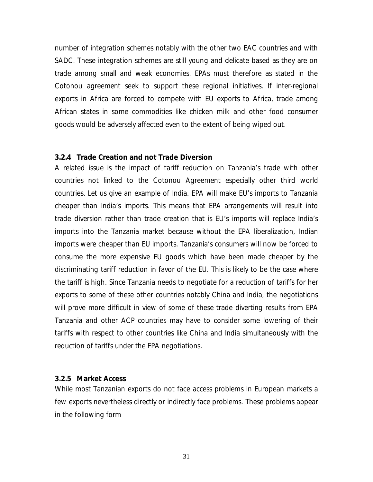number of integration schemes notably with the other two EAC countries and with SADC. These integration schemes are still young and delicate based as they are on trade among small and weak economies. EPAs must therefore as stated in the Cotonou agreement seek to support these regional initiatives. If inter-regional exports in Africa are forced to compete with EU exports to Africa, trade among African states in some commodities like chicken milk and other food consumer goods would be adversely affected even to the extent of being wiped out.

#### **3.2.4 Trade Creation and not Trade Diversion**

A related issue is the impact of tariff reduction on Tanzania's trade with other countries not linked to the Cotonou Agreement especially other third world countries not linked to the Cotonou Agreement especially other third world<br>countries. Let us give an example of India. EPA will make EU's imports to Tanzania countries. Let us give an example of India. EPA will make EU's imports to Tanzania cheaper than India's imports. This means that EPA arrangements will result into<br>trade diversion rather than trade creation that is EU's imports will replace India's imports into the Tanzania market because without the EPA liberalization, Indian imports were cheaper than EU imports. Tanzania' s consumers will now be forced to consume the more expensive EU goods which have been made cheaper by the discriminating tariff reduction in favor of the EU. This is likely to be the case where the tariff is high. Since Tanzania needs to negotiate for a reduction of tariffs for her exports to some of these other countries notably China and India, the negotiations will prove more difficult in view of some of these trade diverting results from EPA Tanzania and other ACP countries may have to consider some lowering of their tariffs with respect to other countries like China and India simultaneously with the reduction of tariffs under the EPA negotiations.

#### **3.2.5 Market Access**

While most Tanzanian exports do not face access problems in European markets a few exports nevertheless directly or indirectly face problems. These problems appear in the following form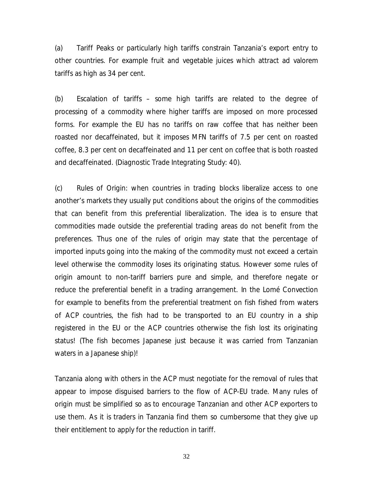(a) Tariff Peaks or particularly high tariffs constrain Tanzania's export entry to other countries. For example fruit and vegetable juices which attract *ad valorem* tariffs as high as 34 per cent.

(b) Escalation of tariffs – some high tariffs are related to the degree of processing of a commodity where higher tariffs are imposed on more processed forms. For example the EU has no tariffs on raw coffee that has neither been roasted nor decaffeinated, but it imposes MFN tariffs of 7.5 per cent on roasted coffee, 8.3 per cent on decaffeinated and 11 per cent on coffee that is both roasted and decaffeinated. (*Diagnostic Trade Integrating Study: 40).*

(c) Rules of Origin: when countries in trading blocks liberalize access to one another's markets they usually put conditions about the origins of the commodities that can benefit from this preferential liberalization. The idea is to ensure that commodities made outside the preferential trading areas do not benefit from the preferences. Thus one of the rules of origin may state that the percentage of imported inputs going into the making of the commodity must not exceed a certain level otherwise the commodity loses its originating status. However some rules of origin amount to non-tariff barriers pure and simple, and therefore negate or reduce the preferential benefit in a trading arrangement. In the Lomé Convection for example to benefits from the preferential treatment on fish fished from waters of ACP countries, the fish had to be transported to an EU country in a ship registered in the EU or the ACP countries otherwise the fish lost its originating status! (The fish becomes Japanese just because it was carried from Tanzanian waters in a Japanese ship)!

Tanzania along with others in the ACP must negotiate for the removal of rules that appear to impose disguised barriers to the flow of ACP-EU trade. Many rules of origin must be simplified so as to encourage Tanzanian and other ACP exporters to use them. As it is traders in Tanzania find them so cumbersome that they give up their entitlement to apply for the reduction in tariff.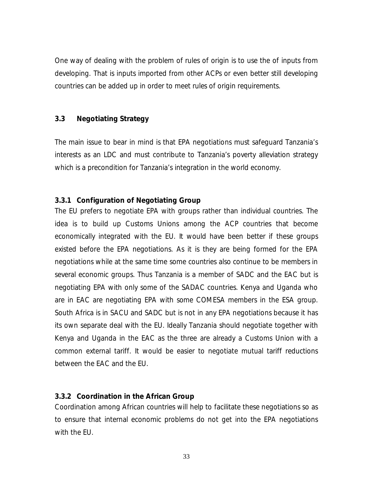One way of dealing with the problem of rules of origin is to use the of inputs from developing. That is inputs imported from other ACPs or even better still developing countries can be added up in order to meet rules of origin requirements.

#### **3.3 Negotiating Strategy**

The main issue to bear in mind is that EPA negotiations must safeguard Tanzania' s The main issue to bear in mind is that EPA negotiations must safeguard Tanzania's<br>interests as an LDC and must contribute to Tanzania's poverty alleviation strategy interests as an LDC and must contribute to Tanzania's poverty alleviation<br>which is a precondition for Tanzania's integration in the world economy.

#### **3.3.1 Configuration of Negotiating Group**

The EU prefers to negotiate EPA with groups rather than individual countries. The idea is to build up Customs Unions among the ACP countries that become economically integrated with the EU. It would have been better if these groups existed before the EPA negotiations. As it is they are being formed for the EPA negotiations while at the same time some countries also continue to be members in several economic groups. Thus Tanzania is a member of SADC and the EAC but is negotiating EPA with only some of the SADAC countries. Kenya and Uganda who are in EAC are negotiating EPA with some COMESA members in the ESA group. South Africa is in SACU and SADC but is not in any EPA negotiations because it has its own separate deal with the EU. Ideally Tanzania should negotiate together with Kenya and Uganda in the EAC as the three are already a Customs Union with a common external tariff. It would be easier to negotiate mutual tariff reductions between the EAC and the EU.

#### **3.3.2 Coordination in the African Group**

Coordination among African countries will help to facilitate these negotiations so as to ensure that internal economic problems do not get into the EPA negotiations with the EU.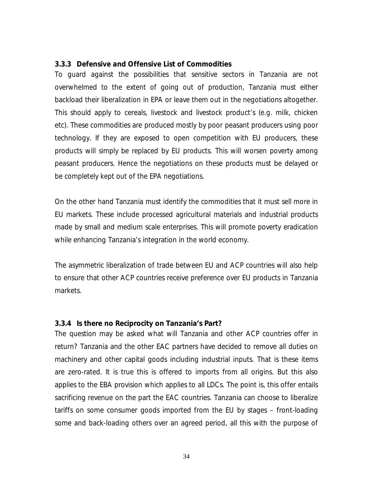#### **3.3.3 Defensive and Offensive List of Commodities**

To guard against the possibilities that sensitive sectors in Tanzania are not overwhelmed to the extent of going out of production, Tanzania must either backload their liberalization in EPA or leave them out in the negotiations altogether. backload their liberalization in EPA or leave them out in the negotiations altogether.<br>This should apply to cereals, livestock and livestock product's (e.g. milk, chicken etc). These commodities are produced mostly by poor peasant producers using poor technology. If they are exposed to open competition with EU producers, these products will simply be replaced by EU products. This will worsen poverty among peasant producers. Hence the negotiations on these products must be delayed or be completely kept out of the EPA negotiations.

On the other hand Tanzania must identify the commodities that it must sell more in EU markets. These include processed agricultural materials and industrial products made by small and medium scale enterprises. This will promote poverty eradication made by small and medium scale enterprises. This will promote<br>while enhancing Tanzania's integration in the world economy.

The asymmetric liberalization of trade between EU and ACP countries will also help to ensure that other ACP countries receive preference over EU products in Tanzania markets.

#### **3.3.4 Is there no Reciprocity on Tanzania' s Part?**

The question may be asked what will Tanzania and other ACP countries offer in return? Tanzania and the other EAC partners have decided to remove all duties on machinery and other capital goods including industrial inputs. That is these items are zero-rated. It is true this is offered to imports from all origins. But this also applies to the EBA provision which applies to all LDCs. The point is, this offer entails sacrificing revenue on the part the EAC countries. Tanzania can choose to liberalize tariffs on some consumer goods imported from the EU by stages – front-loading some and back-loading others over an agreed period, all this with the purpose of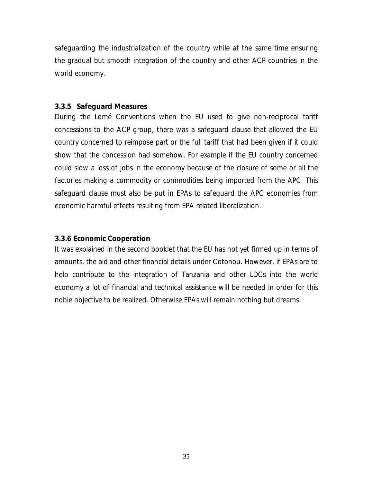safeguarding the industrialization of the country while at the same time ensuring the gradual but smooth integration of the country and other ACP countries in the world economy.

#### **3.3.5 Safeguard Measures**

During the Lomé Conventions when the EU used to give non-reciprocal tariff concessions to the ACP group, there was a safeguard clause that allowed the EU country concerned to reimpose part or the full tariff that had been given if it could show that the concession had somehow. For example if the EU country concerned could slow a loss of jobs in the economy because of the closure of some or all the factories making a commodity or commodities being imported from the APC. This safeguard clause must also be put in EPAs to safeguard the APC economies from economic harmful effects resulting from EPA related liberalization.

#### **3.3.6 Economic Cooperation**

It was explained in the second booklet that the EU has not yet firmed up in terms of amounts, the aid and other financial details under Cotonou. However, if EPAs are to help contribute to the integration of Tanzania and other LDCs into the world economy a lot of financial and technical assistance will be needed in order for this noble objective to be realized. Otherwise EPAs will remain nothing but dreams!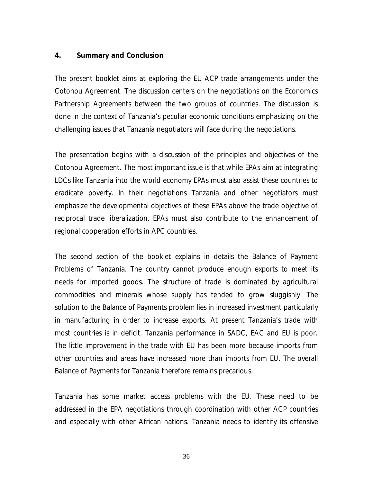#### **4. Summary and Conclusion**

The present booklet aims at exploring the EU-ACP trade arrangements under the Cotonou Agreement. The discussion centers on the negotiations on the Economics Partnership Agreements between the two groups of countries. The discussion is done in the context of Tanzania's peculiar economic conditions emphasizing on the challenging issues that Tanzania negotiators will face during the negotiations.

The presentation begins with a discussion of the principles and objectives of the Cotonou Agreement. The most important issue is that while EPAs aim at integrating LDCs like Tanzania into the world economy EPAs must also assist these countries to eradicate poverty. In their negotiations Tanzania and other negotiators must emphasize the developmental objectives of these EPAs above the trade objective of reciprocal trade liberalization. EPAs must also contribute to the enhancement of regional cooperation efforts in APC countries.

The second section of the booklet explains in details the Balance of Payment Problems of Tanzania. The country cannot produce enough exports to meet its needs for imported goods. The structure of trade is dominated by agricultural commodities and minerals whose supply has tended to grow sluggishly. The solution to the Balance of Payments problem lies in increased investment particularly solution to the Balance of Payments problem lies in increased investment particularly<br>in manufacturing in order to increase exports. At present Tanzania's trade with most countries is in deficit. Tanzania performance in SADC, EAC and EU is poor. The little improvement in the trade with EU has been more because imports from other countries and areas have increased more than imports from EU. The overall Balance of Payments for Tanzania therefore remains precarious.

Tanzania has some market access problems with the EU. These need to be addressed in the EPA negotiations through coordination with other ACP countries and especially with other African nations. Tanzania needs to identify its offensive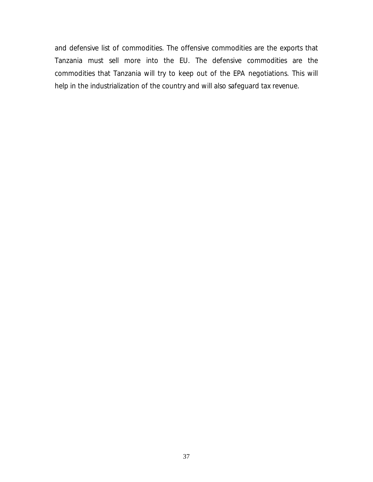and defensive list of commodities. The offensive commodities are the exports that Tanzania must sell more into the EU. The defensive commodities are the commodities that Tanzania will try to keep out of the EPA negotiations. This will help in the industrialization of the country and will also safeguard tax revenue.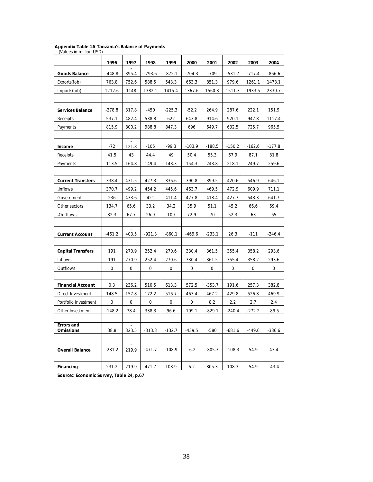## **Appendix Table 1A Tanzania's Balance of Payments<br>(Values in million USD)**

|                                       | 1996     | 1997                              | 1998        | 1999     | 2000     | 2001     | 2002     | 2003     | 2004     |
|---------------------------------------|----------|-----------------------------------|-------------|----------|----------|----------|----------|----------|----------|
| <b>Goods Balance</b>                  | $-448.8$ | 395.4                             | $-793.6$    | $-872.1$ | $-704.3$ | $-709$   | $-531.7$ | $-717.4$ | $-866.6$ |
| Exports(fob)                          | 763.8    | 752.6                             | 588.5       | 543.3    | 663.3    | 851.3    | 979.6    | 1261.1   | 1473.1   |
| Imports(fob)                          | 1212.6   | 1148                              | 1382.1      | 1415.4   | 1367.6   | 1560.3   | 1511.3   | 1933.5   | 2339.7   |
|                                       |          |                                   |             |          |          |          |          |          |          |
| <b>Services Balance</b>               | $-278.8$ | $\overline{\phantom{a}}$<br>317.8 | $-450$      | $-225.3$ | $-52.2$  | 264.9    | 287.6    | 222.1    | 151.9    |
| Receipts                              | 537.1    | 482.4                             | 538.8       | 622      | 643.8    | 914.6    | 920.1    | 947.8    | 1117.4   |
| Payments                              | 815.9    | 800.2                             | 988.8       | 847.3    | 696      | 649.7    | 632.5    | 725.7    | 965.5    |
|                                       |          |                                   |             |          |          |          |          |          |          |
| Income                                | $-72$    | 121.8                             | $-105$      | $-99.3$  | $-103.9$ | $-188.5$ | $-150.2$ | $-162.6$ | $-177.8$ |
| Receipts                              | 41.5     | 43                                | 44.4        | 49       | 50.4     | 55.3     | 67.9     | 87.1     | 81.8     |
| Payments                              | 113.5    | 164.8                             | 149.4       | 148.3    | 154.3    | 243.8    | 218.1    | 249.7    | 259.6    |
| <b>Current Transfers</b>              | 338.4    | 431.5                             | 427.3       | 336.6    | 390.8    | 399.5    | 420.6    | 546.9    | 646.1    |
| .Inflows                              | 370.7    | 499.2                             | 454.2       | 445.6    | 463.7    | 469.5    | 472.9    | 609.9    | 711.1    |
| Government                            | 236      | 433.6                             | 421         | 411.4    | 427.8    | 418.4    | 427.7    | 543.3    | 641.7    |
| Other sectors                         | 134.7    | 65.6                              | 33.2        | 34.2     | 35.9     | 51.1     | 45.2     | 66.6     | 69.4     |
| .Outflows                             | 32.3     | 67.7                              | 26.9        | 109      | 72.9     | 70       | 52.3     | 63       | 65       |
|                                       |          |                                   |             |          |          |          |          |          |          |
| <b>Current Account</b>                | $-461.2$ | 403.5                             | $-921.3$    | $-860.1$ | $-469.6$ | $-233.1$ | 26.3     | $-111$   | $-246.4$ |
| <b>Capital Transfers</b>              | 191      | 270.9                             | 252.4       | 270.6    | 330.4    | 361.5    | 355.4    | 358.2    | 293.6    |
| Inflows                               | 191      | 270.9                             | 252.4       | 270.6    | 330.4    | 361.5    | 355.4    | 358.2    | 293.6    |
| Outflows                              | 0        | 0                                 | $\mathbf 0$ | 0        | 0        | 0        | 0        | 0        | 0        |
|                                       |          |                                   |             |          |          |          |          |          |          |
| <b>Financial Account</b>              | 0.3      | 236.2                             | 510.5       | 613.3    | 572.5    | $-353.7$ | 191.6    | 257.3    | 382.8    |
| Direct Investment                     | 148.5    | 157.8                             | 172.2       | 516.7    | 463.4    | 467.2    | 429.8    | 526.8    | 469.9    |
| Portfolio Investment                  | 0        | 0                                 | 0           | 0        | 0        | 8.2      | 2.2      | 2.7      | 2.4      |
| Other Investment                      | $-148.2$ | 78.4                              | 338.3       | 96.6     | 109.1    | $-829.1$ | $-240.4$ | $-272.2$ | $-89.5$  |
| <b>Frrors and</b><br><b>Omissions</b> | 38.8     | 323.5                             | $-313.3$    | $-132.7$ | $-439.5$ | $-580$   | $-681.6$ | $-449.6$ | $-386.6$ |
| <b>Overall Balance</b>                | $-231.2$ | 219.9                             | $-471.7$    | $-108.9$ | $-6.2$   | $-805.3$ | $-108.3$ | 54.9     | 43.4     |
| Financing                             | 231.2    | 219.9                             | 471.7       | 108.9    | 6.2      | 805.3    | 108.3    | 54.9     | $-43.4$  |

**Source:: Economic Survey, Table 24, p.67**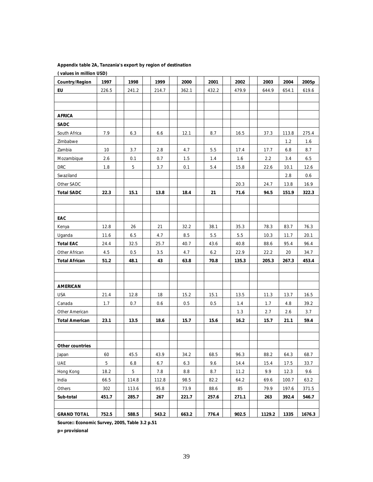| (values in million USD) |       |       |       |       |       |       |         |       |        |
|-------------------------|-------|-------|-------|-------|-------|-------|---------|-------|--------|
| Country/Region          | 1997  | 1998  | 1999  | 2000  | 2001  | 2002  | 2003    | 2004  | 2005p  |
| EU                      | 226.5 | 241.2 | 214.7 | 362.1 | 432.2 | 479.9 | 644.9   | 654.1 | 619.6  |
|                         |       |       |       |       |       |       |         |       |        |
|                         |       |       |       |       |       |       |         |       |        |
| <b>AFRICA</b>           |       |       |       |       |       |       |         |       |        |
| <b>SADC</b>             |       |       |       |       |       |       |         |       |        |
| South Africa            | 7.9   | 6.3   | 6.6   | 12.1  | 8.7   | 16.5  | 37.3    | 113.8 | 275.4  |
| Zimbabwe                |       |       |       |       |       |       |         | 1.2   | 1.6    |
| Zambia                  | 10    | 3.7   | 2.8   | 4.7   | 5.5   | 17.4  | 17.7    | 6.8   | 8.7    |
| Mozambique              | 2.6   | 0.1   | 0.7   | 1.5   | 1.4   | 1.6   | $2.2\,$ | 3.4   | 6.5    |
| <b>DRC</b>              | 1.8   | 5     | 3.7   | 0.1   | 5.4   | 15.8  | 22.6    | 10.1  | 12.6   |
| Swaziland               |       |       |       |       |       |       |         | 2.8   | 0.6    |
| Other SADC              |       |       |       |       |       | 20.3  | 24.7    | 13.8  | 16.9   |
| <b>Total SADC</b>       | 22.3  | 15.1  | 13.8  | 18.4  | 21    | 71.6  | 94.5    | 151.9 | 322.3  |
|                         |       |       |       |       |       |       |         |       |        |
|                         |       |       |       |       |       |       |         |       |        |
| EAC                     |       |       |       |       |       |       |         |       |        |
| Kenya                   | 12.8  | 26    | 21    | 32.2  | 38.1  | 35.3  | 78.3    | 83.7  | 76.3   |
| Uganda                  | 11.6  | 6.5   | 4.7   | 8.5   | 5.5   | 5.5   | 10.3    | 11.7  | 20.1   |
| <b>Total EAC</b>        | 24.4  | 32.5  | 25.7  | 40.7  | 43.6  | 40.8  | 88.6    | 95.4  | 96.4   |
| Other African           | 4.5   | 0.5   | 3.5   | 4.7   | 6.2   | 22.9  | 22.2    | 20    | 34.7   |
| <b>Total African</b>    | 51.2  | 48.1  | 43    | 63.8  | 70.8  | 135.3 | 205.3   | 267.3 | 453.4  |
|                         |       |       |       |       |       |       |         |       |        |
|                         |       |       |       |       |       |       |         |       |        |
| <b>AMERICAN</b>         |       |       |       |       |       |       |         |       |        |
| <b>USA</b>              | 21.4  | 12.8  | 18    | 15.2  | 15.1  | 13.5  | 11.3    | 13.7  | 16.5   |
| Canada                  | 1.7   | 0.7   | 0.6   | 0.5   | 0.5   | 1.4   | 1.7     | 4.8   | 39.2   |
| Other American          |       |       |       |       |       | 1.3   | 2.7     | 2.6   | 3.7    |
| <b>Total American</b>   | 23.1  | 13.5  | 18.6  | 15.7  | 15.6  | 16.2  | 15.7    | 21.1  | 59.4   |
|                         |       |       |       |       |       |       |         |       |        |
|                         |       |       |       |       |       |       |         |       |        |
| Other countries         |       |       |       |       |       |       |         |       |        |
| Japan                   | 60    | 45.5  | 43.9  | 34.2  | 68.5  | 96.3  | 88.2    | 64.3  | 68.7   |
| <b>UAE</b>              | 5     | 6.8   | 6.7   | 6.3   | 9.6   | 14.4  | 15.4    | 17.5  | 33.7   |
| Hong Kong               | 18.2  | 5     | 7.8   | 8.8   | 8.7   | 11.2  | 9.9     | 12.3  | 9.6    |
| India                   | 66.5  | 114.8 | 112.8 | 98.5  | 82.2  | 64.2  | 69.6    | 100.7 | 63.2   |
| Others                  | 302   | 113.6 | 95.8  | 73.9  | 88.6  | 85    | 79.9    | 197.6 | 371.5  |
| Sub-total               | 451.7 | 285.7 | 267   | 221.7 | 257.6 | 271.1 | 263     | 392.4 | 546.7  |
|                         |       |       |       |       |       |       |         |       |        |
| <b>GRAND TOTAL</b>      | 752.5 | 588.5 | 543.2 | 663.2 | 776.4 | 902.5 | 1129.2  | 1335  | 1676.3 |

#### **Appendix table 2A, Tanzania's export by region of destination**

**Source:: Economic Survey, 2005, Table 3.2 p.51**

**p= provisional**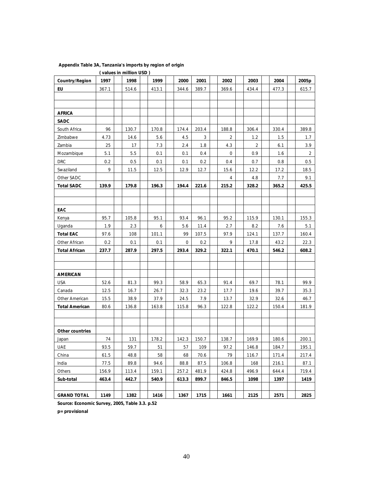|                       |       | (values in million USD) |       |             |       |       |                |       |       |
|-----------------------|-------|-------------------------|-------|-------------|-------|-------|----------------|-------|-------|
| Country/Region        | 1997  | 1998                    | 1999  | 2000        | 2001  | 2002  | 2003           | 2004  | 2005p |
| EU                    | 367.1 | 514.6                   | 413.1 | 344.6       | 389.7 | 369.6 | 434.4          | 477.3 | 615.7 |
|                       |       |                         |       |             |       |       |                |       |       |
|                       |       |                         |       |             |       |       |                |       |       |
| <b>AFRICA</b>         |       |                         |       |             |       |       |                |       |       |
| <b>SADC</b>           |       |                         |       |             |       |       |                |       |       |
| South Africa          | 96    | 130.7                   | 170.8 | 174.4       | 203.4 | 188.8 | 306.4          | 330.4 | 389.8 |
| Zimbabwe              | 4.73  | 14.6                    | 5.6   | 4.5         | 3     | 2     | 1.2            | 1.5   | 1.7   |
| Zambia                | 25    | 17                      | 7.3   | 2.4         | 1.8   | 4.3   | $\overline{2}$ | 6.1   | 3.9   |
| Mozambique            | 5.1   | 5.5                     | 0.1   | 0.1         | 0.4   | 0     | 0.9            | 1.6   | 2     |
| <b>DRC</b>            | 0.2   | 0.5                     | 0.1   | 0.1         | 0.2   | 0.4   | 0.7            | 0.8   | 0.5   |
| Swaziland             | 9     | 11.5                    | 12.5  | 12.9        | 12.7  | 15.6  | 12.2           | 17.2  | 18.5  |
| Other SADC            |       |                         |       |             |       | 4     | 4.8            | 7.7   | 9.1   |
| <b>Total SADC</b>     | 139.9 | 179.8                   | 196.3 | 194.4       | 221.6 | 215.2 | 328.2          | 365.2 | 425.5 |
|                       |       |                         |       |             |       |       |                |       |       |
|                       |       |                         |       |             |       |       |                |       |       |
| EAC                   |       |                         |       |             |       |       |                |       |       |
| Kenya                 | 95.7  | 105.8                   | 95.1  | 93.4        | 96.1  | 95.2  | 115.9          | 130.1 | 155.3 |
| Uganda                | 1.9   | 2.3                     | 6     | 5.6         | 11.4  | 2.7   | 8.2            | 7.6   | 5.1   |
| <b>Total EAC</b>      | 97.6  | 108                     | 101.1 | 99          | 107.5 | 97.9  | 124.1          | 137.7 | 160.4 |
| Other African         | 0.2   | 0.1                     | 0.1   | $\mathbf 0$ | 0.2   | 9     | 17.8           | 43.2  | 22.3  |
| <b>Total African</b>  | 237.7 | 287.9                   | 297.5 | 293.4       | 329.2 | 322.1 | 470.1          | 546.2 | 608.2 |
|                       |       |                         |       |             |       |       |                |       |       |
|                       |       |                         |       |             |       |       |                |       |       |
| <b>AMERICAN</b>       |       |                         |       |             |       |       |                |       |       |
| <b>USA</b>            | 52.6  | 81.3                    | 99.3  | 58.9        | 65.3  | 91.4  | 69.7           | 78.1  | 99.9  |
| Canada                | 12.5  | 16.7                    | 26.7  | 32.3        | 23.2  | 17.7  | 19.6           | 39.7  | 35.3  |
| Other American        | 15.5  | 38.9                    | 37.9  | 24.5        | 7.9   | 13.7  | 32.9           | 32.6  | 46.7  |
| <b>Total American</b> | 80.6  | 136.8                   | 163.8 | 115.8       | 96.3  | 122.8 | 122.2          | 150.4 | 181.9 |
|                       |       |                         |       |             |       |       |                |       |       |
|                       |       |                         |       |             |       |       |                |       |       |
| Other countries       |       |                         |       |             |       |       |                |       |       |
| Japan                 | 74    | 131                     | 178.2 | 142.3       | 150.7 | 138.7 | 169.9          | 180.6 | 200.1 |
| <b>UAE</b>            | 93.5  | 59.7                    | 51    | 57          | 109   | 97.2  | 146.8          | 184.7 | 195.1 |
| China                 | 61.5  | 48.8                    | 58    | 68          | 70.6  | 79    | 116.7          | 171.4 | 217.4 |
| India                 | 77.5  | 89.8                    | 94.6  | 88.8        | 87.5  | 106.8 | 168            | 216.1 | 87.1  |
| Others                | 156.9 | 113.4                   | 159.1 | 257.2       | 481.9 | 424.8 | 496.9          | 644.4 | 719.4 |
| Sub-total             | 463.4 | 442.7                   | 540.9 | 613.3       | 899.7 | 846.5 | 1098           | 1397  | 1419  |
|                       |       |                         |       |             |       |       |                |       |       |
| <b>GRAND TOTAL</b>    | 1149  | 1382                    | 1416  | 1367        | 1715  | 1661  | 2125           | 2571  | 2825  |

#### **Appendix Table 3A, Tanzania's imports by region of origin**

**Source: Economic Survey, 2005, Table 3.3. p.52** 

**p= provisional**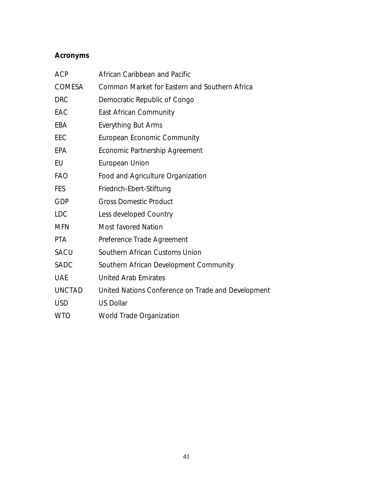### **Acronyms**

| <b>ACP</b>    | African Caribbean and Pacific                      |
|---------------|----------------------------------------------------|
| <b>COMESA</b> | Common Market for Eastern and Southern Africa      |
| <b>DRC</b>    | Democratic Republic of Congo                       |
| EAC           | East African Community                             |
| EBA           | <b>Everything But Arms</b>                         |
| EEC           | European Economic Community                        |
| EPA           | Economic Partnership Agreement                     |
| EU            | European Union                                     |
| <b>FAO</b>    | Food and Agriculture Organization                  |
| FES           | Friedrich-Ebert-Stiftung                           |
| GDP           | <b>Gross Domestic Product</b>                      |
| <b>LDC</b>    | Less developed Country                             |
| <b>MFN</b>    | <b>Most favored Nation</b>                         |
| <b>PTA</b>    | Preference Trade Agreement                         |
| <b>SACU</b>   | Southern African Customs Union                     |
| <b>SADC</b>   | Southern African Development Community             |
| <b>UAE</b>    | <b>United Arab Emirates</b>                        |
| <b>UNCTAD</b> | United Nations Conference on Trade and Development |
| <b>USD</b>    | <b>US Dollar</b>                                   |
| <b>WTO</b>    | World Trade Organization                           |